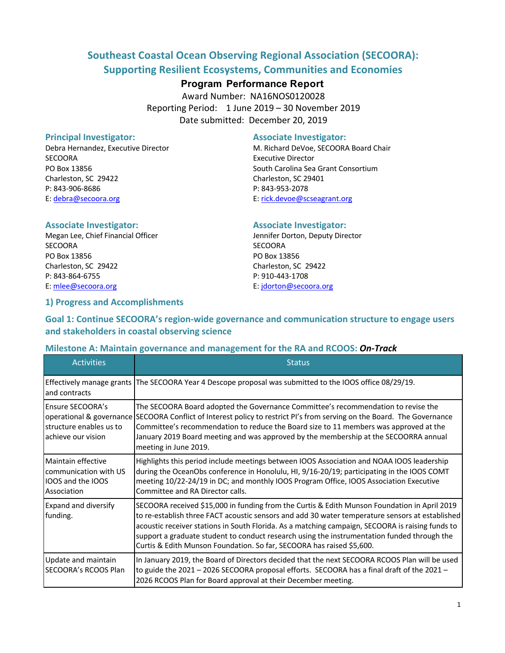## **Southeast Coastal Ocean Observing Regional Association (SECOORA): Supporting Resilient Ecosystems, Communities and Economies**

## **Program Performance Report**

Award Number: NA16NOS0120028 Reporting Period: 1 June 2019 – 30 November 2019 Date submitted: December 20, 2019

SECOORA Executive Director Charleston, SC 29422 Charleston, SC 29401 P: 843-906-8686 P: 843-953-2078 E: debra@secoora.org E: rick.devoe@scseagrant.org

#### **Principal Investigator:** Associate Investigator:

Debra Hernandez, Executive Director M. Richard DeVoe, SECOORA Board Chair PO Box 13856 South Carolina Sea Grant Consortium

#### **Associate Investigator: Associate Investigator:**

Megan Lee, Chief Financial Officer **Jennifer Dorton, Deputy Director** SECOORA SECOORA PO Box 13856 PO Box 13856 Charleston, SC 29422 Charleston, SC 29422 P: 843-864-6755 P: 910-443-1708 E: mlee@secoora.org E: jdorton@secoora.org

#### **1) Progress and Accomplishments**

## **Goal 1: Continue SECOORA's region-wide governance and communication structure to engage users and stakeholders in coastal observing science**

#### **Milestone A: Maintain governance and management for the RA and RCOOS:** *On-Track*

| <b>Activities</b>                                                                                    | <b>Status</b>                                                                                                                                                                                                                                                                                                                                                                                                                                                               |
|------------------------------------------------------------------------------------------------------|-----------------------------------------------------------------------------------------------------------------------------------------------------------------------------------------------------------------------------------------------------------------------------------------------------------------------------------------------------------------------------------------------------------------------------------------------------------------------------|
| and contracts                                                                                        | Effectively manage grants The SECOORA Year 4 Descope proposal was submitted to the IOOS office 08/29/19.                                                                                                                                                                                                                                                                                                                                                                    |
| Ensure SECOORA's<br>structure enables us to<br>achieve our vision                                    | The SECOORA Board adopted the Governance Committee's recommendation to revise the<br>operational & governance SECOORA Conflict of Interest policy to restrict PI's from serving on the Board. The Governance<br>Committee's recommendation to reduce the Board size to 11 members was approved at the<br>January 2019 Board meeting and was approved by the membership at the SECOORRA annual<br>meeting in June 2019.                                                      |
| <b>Maintain effective</b><br>communication with US<br><b>IOOS</b> and the <b>IOOS</b><br>Association | Highlights this period include meetings between IOOS Association and NOAA IOOS leadership<br>during the OceanObs conference in Honolulu, HI, 9/16-20/19; participating in the IOOS COMT<br>meeting 10/22-24/19 in DC; and monthly IOOS Program Office, IOOS Association Executive<br>Committee and RA Director calls.                                                                                                                                                       |
| <b>Expand and diversify</b><br>funding.                                                              | SECOORA received \$15,000 in funding from the Curtis & Edith Munson Foundation in April 2019<br>to re-establish three FACT acoustic sensors and add 30 water temperature sensors at established<br>acoustic receiver stations in South Florida. As a matching campaign, SECOORA is raising funds to<br>support a graduate student to conduct research using the instrumentation funded through the<br>Curtis & Edith Munson Foundation. So far, SECOORA has raised \$5,600. |
| Update and maintain<br>SECOORA's RCOOS Plan                                                          | In January 2019, the Board of Directors decided that the next SECOORA RCOOS Plan will be used<br>to guide the 2021 - 2026 SECOORA proposal efforts. SECOORA has a final draft of the 2021 -<br>2026 RCOOS Plan for Board approval at their December meeting.                                                                                                                                                                                                                |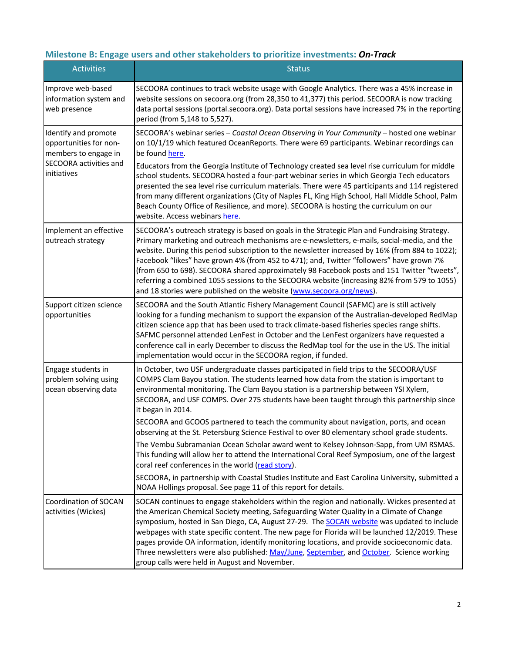# **Milestone B: Engage users and other stakeholders to prioritize investments:** *On-Track*

| <b>Activities</b>                                                      | <b>Status</b>                                                                                                                                                                                                                                                                                                                                                                                                                                                                                                                                                                                                                                                     |
|------------------------------------------------------------------------|-------------------------------------------------------------------------------------------------------------------------------------------------------------------------------------------------------------------------------------------------------------------------------------------------------------------------------------------------------------------------------------------------------------------------------------------------------------------------------------------------------------------------------------------------------------------------------------------------------------------------------------------------------------------|
| Improve web-based<br>information system and<br>web presence            | SECOORA continues to track website usage with Google Analytics. There was a 45% increase in<br>website sessions on secoora.org (from 28,350 to 41,377) this period. SECOORA is now tracking<br>data portal sessions (portal.secoora.org). Data portal sessions have increased 7% in the reporting<br>period (from 5,148 to 5,527).                                                                                                                                                                                                                                                                                                                                |
| Identify and promote<br>opportunities for non-<br>members to engage in | SECOORA's webinar series - Coastal Ocean Observing in Your Community - hosted one webinar<br>on 10/1/19 which featured OceanReports. There were 69 participants. Webinar recordings can<br>be found here.                                                                                                                                                                                                                                                                                                                                                                                                                                                         |
| SECOORA activities and<br>initiatives                                  | Educators from the Georgia Institute of Technology created sea level rise curriculum for middle<br>school students. SECOORA hosted a four-part webinar series in which Georgia Tech educators<br>presented the sea level rise curriculum materials. There were 45 participants and 114 registered<br>from many different organizations (City of Naples FL, King High School, Hall Middle School, Palm<br>Beach County Office of Resilience, and more). SECOORA is hosting the curriculum on our<br>website. Access webinars here.                                                                                                                                 |
| Implement an effective<br>outreach strategy                            | SECOORA's outreach strategy is based on goals in the Strategic Plan and Fundraising Strategy.<br>Primary marketing and outreach mechanisms are e-newsletters, e-mails, social-media, and the<br>website. During this period subscription to the newsletter increased by 16% (from 884 to 1022);<br>Facebook "likes" have grown 4% (from 452 to 471); and, Twitter "followers" have grown 7%<br>(from 650 to 698). SECOORA shared approximately 98 Facebook posts and 151 Twitter "tweets",<br>referring a combined 1055 sessions to the SECOORA website (increasing 82% from 579 to 1055)<br>and 18 stories were published on the website (www.secoora.org/news). |
| Support citizen science<br>opportunities                               | SECOORA and the South Atlantic Fishery Management Council (SAFMC) are is still actively<br>looking for a funding mechanism to support the expansion of the Australian-developed RedMap<br>citizen science app that has been used to track climate-based fisheries species range shifts.<br>SAFMC personnel attended LenFest in October and the LenFest organizers have requested a<br>conference call in early December to discuss the RedMap tool for the use in the US. The initial<br>implementation would occur in the SECOORA region, if funded.                                                                                                             |
| Engage students in<br>problem solving using<br>ocean observing data    | In October, two USF undergraduate classes participated in field trips to the SECOORA/USF<br>COMPS Clam Bayou station. The students learned how data from the station is important to<br>environmental monitoring. The Clam Bayou station is a partnership between YSI Xylem,<br>SECOORA, and USF COMPS. Over 275 students have been taught through this partnership since<br>it began in 2014.                                                                                                                                                                                                                                                                    |
|                                                                        | SECOORA and GCOOS partnered to teach the community about navigation, ports, and ocean<br>observing at the St. Petersburg Science Festival to over 80 elementary school grade students.                                                                                                                                                                                                                                                                                                                                                                                                                                                                            |
|                                                                        | The Vembu Subramanian Ocean Scholar award went to Kelsey Johnson-Sapp, from UM RSMAS.<br>This funding will allow her to attend the International Coral Reef Symposium, one of the largest<br>coral reef conferences in the world (read story).                                                                                                                                                                                                                                                                                                                                                                                                                    |
|                                                                        | SECOORA, in partnership with Coastal Studies Institute and East Carolina University, submitted a<br>NOAA Hollings proposal. See page 11 of this report for details.                                                                                                                                                                                                                                                                                                                                                                                                                                                                                               |
| Coordination of SOCAN<br>activities (Wickes)                           | SOCAN continues to engage stakeholders within the region and nationally. Wickes presented at<br>the American Chemical Society meeting, Safeguarding Water Quality in a Climate of Change<br>symposium, hosted in San Diego, CA, August 27-29. The SOCAN website was updated to include<br>webpages with state specific content. The new page for Florida will be launched 12/2019. These<br>pages provide OA information, identify monitoring locations, and provide socioeconomic data.<br>Three newsletters were also published: May/June, September, and October. Science working<br>group calls were held in August and November.                             |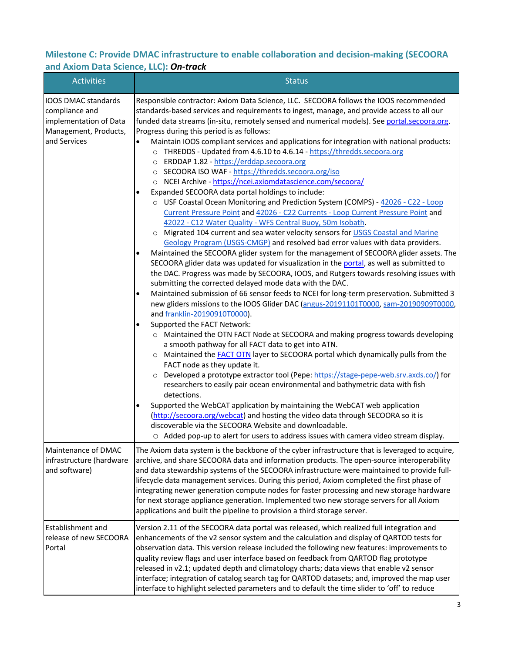## **Milestone C: Provide DMAC infrastructure to enable collaboration and decision-making (SECOORA and Axiom Data Science, LLC):** *On-track*

| <b>Activities</b>                                                                                        | <b>Status</b>                                                                                                                                                                                                                                                                                                                                                                                                                                                                                                                                                                                                                                                                                                                                                                                                                                                                                                                                                                                                                                                                                                                                                                                                                                                                                                                                                                                                                                                                                                                                                                                                                                                                                                                                                                                                                                                                                                                                                                                                                                                                                                                                                                                                                                                                                                                                                                                                                                                                                                                                                                                                |
|----------------------------------------------------------------------------------------------------------|--------------------------------------------------------------------------------------------------------------------------------------------------------------------------------------------------------------------------------------------------------------------------------------------------------------------------------------------------------------------------------------------------------------------------------------------------------------------------------------------------------------------------------------------------------------------------------------------------------------------------------------------------------------------------------------------------------------------------------------------------------------------------------------------------------------------------------------------------------------------------------------------------------------------------------------------------------------------------------------------------------------------------------------------------------------------------------------------------------------------------------------------------------------------------------------------------------------------------------------------------------------------------------------------------------------------------------------------------------------------------------------------------------------------------------------------------------------------------------------------------------------------------------------------------------------------------------------------------------------------------------------------------------------------------------------------------------------------------------------------------------------------------------------------------------------------------------------------------------------------------------------------------------------------------------------------------------------------------------------------------------------------------------------------------------------------------------------------------------------------------------------------------------------------------------------------------------------------------------------------------------------------------------------------------------------------------------------------------------------------------------------------------------------------------------------------------------------------------------------------------------------------------------------------------------------------------------------------------------------|
| IOOS DMAC standards<br>compliance and<br>implementation of Data<br>Management, Products,<br>and Services | Responsible contractor: Axiom Data Science, LLC. SECOORA follows the IOOS recommended<br>standards-based services and requirements to ingest, manage, and provide access to all our<br>funded data streams (in-situ, remotely sensed and numerical models). See portal.secoora.org.<br>Progress during this period is as follows:<br>Maintain IOOS compliant services and applications for integration with national products:<br>$\bullet$<br>o THREDDS - Updated from 4.6.10 to 4.6.14 - https://thredds.secoora.org<br>o ERDDAP 1.82 - https://erddap.secoora.org<br>o SECOORA ISO WAF - https://thredds.secoora.org/iso<br>o NCEI Archive - https://ncei.axiomdatascience.com/secoora/<br>Expanded SECOORA data portal holdings to include:<br>o USF Coastal Ocean Monitoring and Prediction System (COMPS) - 42026 - C22 - Loop<br>Current Pressure Point and 42026 - C22 Currents - Loop Current Pressure Point and<br>42022 - C12 Water Quality - WFS Central Buoy, 50m Isobath.<br>Migrated 104 current and sea water velocity sensors for USGS Coastal and Marine<br>$\circ$<br>Geology Program (USGS-CMGP) and resolved bad error values with data providers.<br>Maintained the SECOORA glider system for the management of SECOORA glider assets. The<br>SECOORA glider data was updated for visualization in the portal, as well as submitted to<br>the DAC. Progress was made by SECOORA, IOOS, and Rutgers towards resolving issues with<br>submitting the corrected delayed mode data with the DAC.<br>Maintained submission of 66 sensor feeds to NCEI for long-term preservation. Submitted 3<br>٠<br>new gliders missions to the IOOS Glider DAC (angus-20191101T0000, sam-20190909T0000,<br>and franklin-20190910T0000).<br>Supported the FACT Network:<br>$\bullet$<br>o Maintained the OTN FACT Node at SECOORA and making progress towards developing<br>a smooth pathway for all FACT data to get into ATN.<br>Maintained the <b>FACT OTN</b> layer to SECOORA portal which dynamically pulls from the<br>$\circ$<br>FACT node as they update it.<br>Developed a prototype extractor tool (Pepe: https://stage-pepe-web.srv.axds.co/) for<br>$\circ$<br>researchers to easily pair ocean environmental and bathymetric data with fish<br>detections.<br>Supported the WebCAT application by maintaining the WebCAT web application<br>$\bullet$<br>(http://secoora.org/webcat) and hosting the video data through SECOORA so it is<br>discoverable via the SECOORA Website and downloadable.<br>○ Added pop-up to alert for users to address issues with camera video stream display. |
| Maintenance of DMAC<br>infrastructure (hardware<br>and software)                                         | The Axiom data system is the backbone of the cyber infrastructure that is leveraged to acquire,<br>archive, and share SECOORA data and information products. The open-source interoperability<br>and data stewardship systems of the SECOORA infrastructure were maintained to provide full-<br>lifecycle data management services. During this period, Axiom completed the first phase of<br>integrating newer generation compute nodes for faster processing and new storage hardware<br>for next storage appliance generation. Implemented two new storage servers for all Axiom<br>applications and built the pipeline to provision a third storage server.                                                                                                                                                                                                                                                                                                                                                                                                                                                                                                                                                                                                                                                                                                                                                                                                                                                                                                                                                                                                                                                                                                                                                                                                                                                                                                                                                                                                                                                                                                                                                                                                                                                                                                                                                                                                                                                                                                                                              |
| Establishment and<br>release of new SECOORA<br>Portal                                                    | Version 2.11 of the SECOORA data portal was released, which realized full integration and<br>enhancements of the v2 sensor system and the calculation and display of QARTOD tests for<br>observation data. This version release included the following new features: improvements to<br>quality review flags and user interface based on feedback from QARTOD flag prototype<br>released in v2.1; updated depth and climatology charts; data views that enable v2 sensor<br>interface; integration of catalog search tag for QARTOD datasets; and, improved the map user<br>interface to highlight selected parameters and to default the time slider to 'off' to reduce                                                                                                                                                                                                                                                                                                                                                                                                                                                                                                                                                                                                                                                                                                                                                                                                                                                                                                                                                                                                                                                                                                                                                                                                                                                                                                                                                                                                                                                                                                                                                                                                                                                                                                                                                                                                                                                                                                                                     |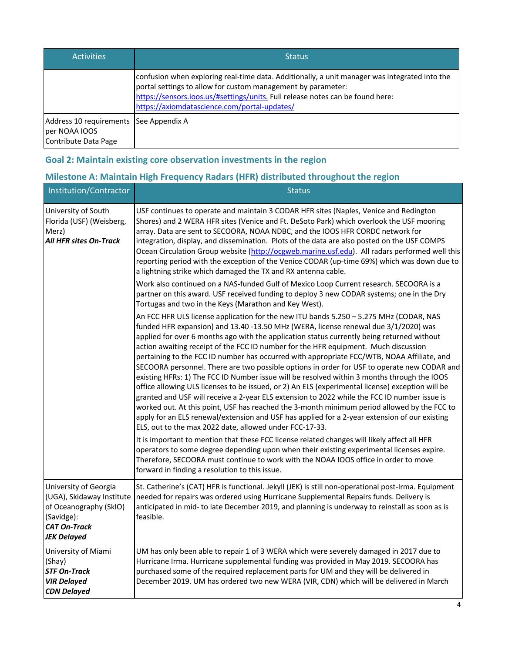| <b>Activities</b>                                                               | <b>Status</b>                                                                                                                                                                                                                                                                                   |
|---------------------------------------------------------------------------------|-------------------------------------------------------------------------------------------------------------------------------------------------------------------------------------------------------------------------------------------------------------------------------------------------|
|                                                                                 | confusion when exploring real-time data. Additionally, a unit manager was integrated into the<br>portal settings to allow for custom management by parameter:<br>https://sensors.ioos.us/#settings/units. Full release notes can be found here:<br>https://axiomdatascience.com/portal-updates/ |
| Address 10 requirements See Appendix A<br>per NOAA IOOS<br>Contribute Data Page |                                                                                                                                                                                                                                                                                                 |

## **Goal 2: Maintain existing core observation investments in the region**

## **Milestone A: Maintain High Frequency Radars (HFR) distributed throughout the region**

| Institution/Contractor                                                                                                                  | <b>Status</b>                                                                                                                                                                                                                                                                                                                                                                                                                                                                                                                                                                                                                                                                                                                                                                                                                                                                                                                                                                                                                                                                                                                                                                                                                                                                       |
|-----------------------------------------------------------------------------------------------------------------------------------------|-------------------------------------------------------------------------------------------------------------------------------------------------------------------------------------------------------------------------------------------------------------------------------------------------------------------------------------------------------------------------------------------------------------------------------------------------------------------------------------------------------------------------------------------------------------------------------------------------------------------------------------------------------------------------------------------------------------------------------------------------------------------------------------------------------------------------------------------------------------------------------------------------------------------------------------------------------------------------------------------------------------------------------------------------------------------------------------------------------------------------------------------------------------------------------------------------------------------------------------------------------------------------------------|
| University of South<br>Florida (USF) (Weisberg,<br>Merz)<br><b>All HFR sites On-Track</b>                                               | USF continues to operate and maintain 3 CODAR HFR sites (Naples, Venice and Redington<br>Shores) and 2 WERA HFR sites (Venice and Ft. DeSoto Park) which overlook the USF mooring<br>array. Data are sent to SECOORA, NOAA NDBC, and the IOOS HFR CORDC network for<br>integration, display, and dissemination. Plots of the data are also posted on the USF COMPS<br>Ocean Circulation Group website (http://ocgweb.marine.usf.edu). All radars performed well this<br>reporting period with the exception of the Venice CODAR (up-time 69%) which was down due to<br>a lightning strike which damaged the TX and RX antenna cable.<br>Work also continued on a NAS-funded Gulf of Mexico Loop Current research. SECOORA is a                                                                                                                                                                                                                                                                                                                                                                                                                                                                                                                                                      |
|                                                                                                                                         | partner on this award. USF received funding to deploy 3 new CODAR systems; one in the Dry<br>Tortugas and two in the Keys (Marathon and Key West).<br>An FCC HFR ULS license application for the new ITU bands 5.250 - 5.275 MHz (CODAR, NAS<br>funded HFR expansion) and 13.40 -13.50 MHz (WERA, license renewal due 3/1/2020) was<br>applied for over 6 months ago with the application status currently being returned without<br>action awaiting receipt of the FCC ID number for the HFR equipment. Much discussion<br>pertaining to the FCC ID number has occurred with appropriate FCC/WTB, NOAA Affiliate, and<br>SECOORA personnel. There are two possible options in order for USF to operate new CODAR and<br>existing HFRs: 1) The FCC ID Number issue will be resolved within 3 months through the IOOS<br>office allowing ULS licenses to be issued, or 2) An ELS (experimental license) exception will be<br>granted and USF will receive a 2-year ELS extension to 2022 while the FCC ID number issue is<br>worked out. At this point, USF has reached the 3-month minimum period allowed by the FCC to<br>apply for an ELS renewal/extension and USF has applied for a 2-year extension of our existing<br>ELS, out to the max 2022 date, allowed under FCC-17-33. |
|                                                                                                                                         | It is important to mention that these FCC license related changes will likely affect all HFR<br>operators to some degree depending upon when their existing experimental licenses expire.<br>Therefore, SECOORA must continue to work with the NOAA IOOS office in order to move<br>forward in finding a resolution to this issue.                                                                                                                                                                                                                                                                                                                                                                                                                                                                                                                                                                                                                                                                                                                                                                                                                                                                                                                                                  |
| University of Georgia<br>(UGA), Skidaway Institute<br>of Oceanography (SkIO)<br>(Savidge):<br><b>CAT On-Track</b><br><b>JEK Delayed</b> | St. Catherine's (CAT) HFR is functional. Jekyll (JEK) is still non-operational post-Irma. Equipment<br>needed for repairs was ordered using Hurricane Supplemental Repairs funds. Delivery is<br>anticipated in mid- to late December 2019, and planning is underway to reinstall as soon as is<br>feasible.                                                                                                                                                                                                                                                                                                                                                                                                                                                                                                                                                                                                                                                                                                                                                                                                                                                                                                                                                                        |
| University of Miami<br>(Shay)<br><b>STF On-Track</b><br><b>VIR Delayed</b><br><b>CDN Delayed</b>                                        | UM has only been able to repair 1 of 3 WERA which were severely damaged in 2017 due to<br>Hurricane Irma. Hurricane supplemental funding was provided in May 2019. SECOORA has<br>purchased some of the required replacement parts for UM and they will be delivered in<br>December 2019. UM has ordered two new WERA (VIR, CDN) which will be delivered in March                                                                                                                                                                                                                                                                                                                                                                                                                                                                                                                                                                                                                                                                                                                                                                                                                                                                                                                   |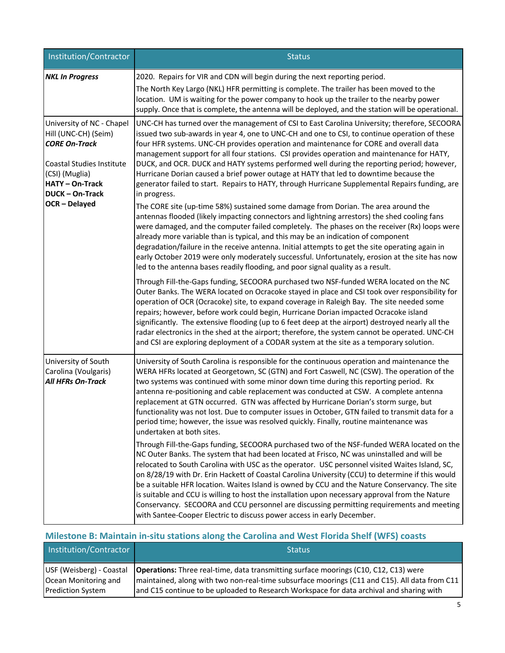| Institution/Contractor                                                                                                                                                                         | <b>Status</b>                                                                                                                                                                                                                                                                                                                                                                                                                                                                                                                                                                                                                                                                                                                                                                                                                                                                                                                                                                                                                                                                                                                                                                                                                                                                                                                                                                                                                                                                                                                                                                                                                                                                                                                                                                                                                                                                                                                                                                                                                                       |
|------------------------------------------------------------------------------------------------------------------------------------------------------------------------------------------------|-----------------------------------------------------------------------------------------------------------------------------------------------------------------------------------------------------------------------------------------------------------------------------------------------------------------------------------------------------------------------------------------------------------------------------------------------------------------------------------------------------------------------------------------------------------------------------------------------------------------------------------------------------------------------------------------------------------------------------------------------------------------------------------------------------------------------------------------------------------------------------------------------------------------------------------------------------------------------------------------------------------------------------------------------------------------------------------------------------------------------------------------------------------------------------------------------------------------------------------------------------------------------------------------------------------------------------------------------------------------------------------------------------------------------------------------------------------------------------------------------------------------------------------------------------------------------------------------------------------------------------------------------------------------------------------------------------------------------------------------------------------------------------------------------------------------------------------------------------------------------------------------------------------------------------------------------------------------------------------------------------------------------------------------------------|
| <b>NKL In Progress</b>                                                                                                                                                                         | 2020. Repairs for VIR and CDN will begin during the next reporting period.<br>The North Key Largo (NKL) HFR permitting is complete. The trailer has been moved to the<br>location. UM is waiting for the power company to hook up the trailer to the nearby power<br>supply. Once that is complete, the antenna will be deployed, and the station will be operational.                                                                                                                                                                                                                                                                                                                                                                                                                                                                                                                                                                                                                                                                                                                                                                                                                                                                                                                                                                                                                                                                                                                                                                                                                                                                                                                                                                                                                                                                                                                                                                                                                                                                              |
| University of NC - Chapel<br>Hill (UNC-CH) (Seim)<br><b>CORE On-Track</b><br><b>Coastal Studies Institute</b><br>(CSI) (Muglia)<br>HATY-On-Track<br><b>DUCK-On-Track</b><br><b>OCR-Delayed</b> | UNC-CH has turned over the management of CSI to East Carolina University; therefore, SECOORA<br>issued two sub-awards in year 4, one to UNC-CH and one to CSI, to continue operation of these<br>four HFR systems. UNC-CH provides operation and maintenance for CORE and overall data<br>management support for all four stations. CSI provides operation and maintenance for HATY,<br>DUCK, and OCR. DUCK and HATY systems performed well during the reporting period; however,<br>Hurricane Dorian caused a brief power outage at HATY that led to downtime because the<br>generator failed to start. Repairs to HATY, through Hurricane Supplemental Repairs funding, are<br>in progress.<br>The CORE site (up-time 58%) sustained some damage from Dorian. The area around the<br>antennas flooded (likely impacting connectors and lightning arrestors) the shed cooling fans<br>were damaged, and the computer failed completely. The phases on the receiver (Rx) loops were<br>already more variable than is typical, and this may be an indication of component<br>degradation/failure in the receive antenna. Initial attempts to get the site operating again in<br>early October 2019 were only moderately successful. Unfortunately, erosion at the site has now<br>led to the antenna bases readily flooding, and poor signal quality as a result.<br>Through Fill-the-Gaps funding, SECOORA purchased two NSF-funded WERA located on the NC<br>Outer Banks. The WERA located on Ocracoke stayed in place and CSI took over responsibility for<br>operation of OCR (Ocracoke) site, to expand coverage in Raleigh Bay. The site needed some<br>repairs; however, before work could begin, Hurricane Dorian impacted Ocracoke island<br>significantly. The extensive flooding (up to 6 feet deep at the airport) destroyed nearly all the<br>radar electronics in the shed at the airport; therefore, the system cannot be operated. UNC-CH<br>and CSI are exploring deployment of a CODAR system at the site as a temporary solution. |
| University of South<br>Carolina (Voulgaris)<br><b>All HFRs On-Track</b>                                                                                                                        | University of South Carolina is responsible for the continuous operation and maintenance the<br>WERA HFRs located at Georgetown, SC (GTN) and Fort Caswell, NC (CSW). The operation of the<br>two systems was continued with some minor down time during this reporting period. Rx<br>antenna re-positioning and cable replacement was conducted at CSW. A complete antenna<br>replacement at GTN occurred. GTN was affected by Hurricane Dorian's storm surge, but<br>functionality was not lost. Due to computer issues in October, GTN failed to transmit data for a<br>period time; however, the issue was resolved quickly. Finally, routine maintenance was<br>undertaken at both sites.<br>Through Fill-the-Gaps funding, SECOORA purchased two of the NSF-funded WERA located on the<br>NC Outer Banks. The system that had been located at Frisco, NC was uninstalled and will be<br>relocated to South Carolina with USC as the operator. USC personnel visited Waites Island, SC,<br>on 8/28/19 with Dr. Erin Hackett of Coastal Carolina University (CCU) to determine if this would<br>be a suitable HFR location. Waites Island is owned by CCU and the Nature Conservancy. The site<br>is suitable and CCU is willing to host the installation upon necessary approval from the Nature<br>Conservancy. SECOORA and CCU personnel are discussing permitting requirements and meeting<br>with Santee-Cooper Electric to discuss power access in early December.                                                                                                                                                                                                                                                                                                                                                                                                                                                                                                                                                                        |

# **Milestone B: Maintain in-situ stations along the Carolina and West Florida Shelf (WFS) coasts**

| Institution/Contractor   | <b>Status</b>                                                                                  |
|--------------------------|------------------------------------------------------------------------------------------------|
| USF (Weisberg) - Coastal | <b>Operations:</b> Three real-time, data transmitting surface moorings (C10, C12, C13) were    |
| Ocean Monitoring and     | Imaintained, along with two non-real-time subsurface moorings (C11 and C15). All data from C11 |
| <b>Prediction System</b> | and C15 continue to be uploaded to Research Workspace for data archival and sharing with       |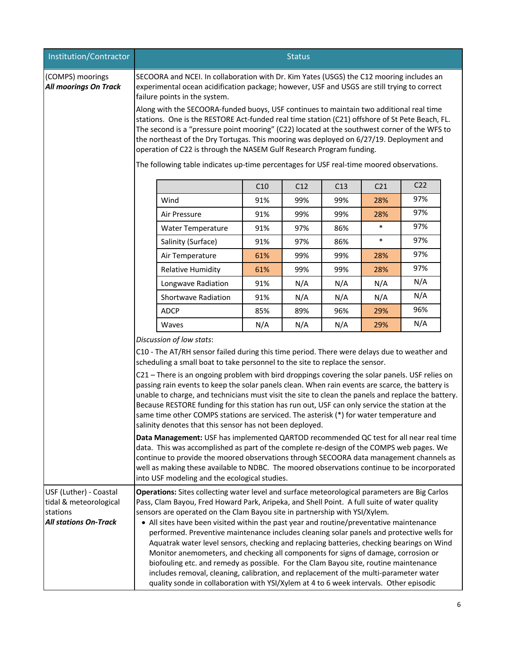| Institution/Contractor                                                                       | <b>Status</b>                                                                                                                                                                                                                                                                                                                                                                                                                                                                                                                                                                                                                                                                                                                                                                                                                                                                                                                                                                                                                                                                                                                                                                                               |     |     |     |                 |                 |  |
|----------------------------------------------------------------------------------------------|-------------------------------------------------------------------------------------------------------------------------------------------------------------------------------------------------------------------------------------------------------------------------------------------------------------------------------------------------------------------------------------------------------------------------------------------------------------------------------------------------------------------------------------------------------------------------------------------------------------------------------------------------------------------------------------------------------------------------------------------------------------------------------------------------------------------------------------------------------------------------------------------------------------------------------------------------------------------------------------------------------------------------------------------------------------------------------------------------------------------------------------------------------------------------------------------------------------|-----|-----|-----|-----------------|-----------------|--|
| (COMPS) moorings<br><b>All moorings On Track</b>                                             | SECOORA and NCEI. In collaboration with Dr. Kim Yates (USGS) the C12 mooring includes an<br>experimental ocean acidification package; however, USF and USGS are still trying to correct<br>failure points in the system.<br>Along with the SECOORA-funded buoys, USF continues to maintain two additional real time<br>stations. One is the RESTORE Act-funded real time station (C21) offshore of St Pete Beach, FL.<br>The second is a "pressure point mooring" (C22) located at the southwest corner of the WFS to<br>the northeast of the Dry Tortugas. This mooring was deployed on 6/27/19. Deployment and<br>operation of C22 is through the NASEM Gulf Research Program funding.<br>The following table indicates up-time percentages for USF real-time moored observations.                                                                                                                                                                                                                                                                                                                                                                                                                        |     |     |     |                 |                 |  |
|                                                                                              |                                                                                                                                                                                                                                                                                                                                                                                                                                                                                                                                                                                                                                                                                                                                                                                                                                                                                                                                                                                                                                                                                                                                                                                                             | C10 | C12 | C13 | C <sub>21</sub> | C <sub>22</sub> |  |
|                                                                                              | Wind                                                                                                                                                                                                                                                                                                                                                                                                                                                                                                                                                                                                                                                                                                                                                                                                                                                                                                                                                                                                                                                                                                                                                                                                        | 91% | 99% | 99% | 28%             | 97%             |  |
|                                                                                              | Air Pressure                                                                                                                                                                                                                                                                                                                                                                                                                                                                                                                                                                                                                                                                                                                                                                                                                                                                                                                                                                                                                                                                                                                                                                                                | 91% | 99% | 99% | 28%             | 97%             |  |
|                                                                                              | Water Temperature                                                                                                                                                                                                                                                                                                                                                                                                                                                                                                                                                                                                                                                                                                                                                                                                                                                                                                                                                                                                                                                                                                                                                                                           | 91% | 97% | 86% | $\ast$          | 97%             |  |
|                                                                                              | Salinity (Surface)                                                                                                                                                                                                                                                                                                                                                                                                                                                                                                                                                                                                                                                                                                                                                                                                                                                                                                                                                                                                                                                                                                                                                                                          | 91% | 97% | 86% | $\ast$          | 97%             |  |
|                                                                                              | Air Temperature                                                                                                                                                                                                                                                                                                                                                                                                                                                                                                                                                                                                                                                                                                                                                                                                                                                                                                                                                                                                                                                                                                                                                                                             | 61% | 99% | 99% | 28%             | 97%             |  |
|                                                                                              | <b>Relative Humidity</b>                                                                                                                                                                                                                                                                                                                                                                                                                                                                                                                                                                                                                                                                                                                                                                                                                                                                                                                                                                                                                                                                                                                                                                                    | 61% | 99% | 99% | 28%             | 97%             |  |
|                                                                                              | Longwave Radiation                                                                                                                                                                                                                                                                                                                                                                                                                                                                                                                                                                                                                                                                                                                                                                                                                                                                                                                                                                                                                                                                                                                                                                                          | 91% | N/A | N/A | N/A             | N/A             |  |
|                                                                                              | Shortwave Radiation                                                                                                                                                                                                                                                                                                                                                                                                                                                                                                                                                                                                                                                                                                                                                                                                                                                                                                                                                                                                                                                                                                                                                                                         | 91% | N/A | N/A | N/A             | N/A             |  |
|                                                                                              | <b>ADCP</b>                                                                                                                                                                                                                                                                                                                                                                                                                                                                                                                                                                                                                                                                                                                                                                                                                                                                                                                                                                                                                                                                                                                                                                                                 | 85% | 89% | 96% | 29%             | 96%             |  |
|                                                                                              | Waves                                                                                                                                                                                                                                                                                                                                                                                                                                                                                                                                                                                                                                                                                                                                                                                                                                                                                                                                                                                                                                                                                                                                                                                                       | N/A | N/A | N/A | 29%             | N/A             |  |
|                                                                                              | Discussion of low stats:<br>C10 - The AT/RH sensor failed during this time period. There were delays due to weather and<br>scheduling a small boat to take personnel to the site to replace the sensor.<br>C21 – There is an ongoing problem with bird droppings covering the solar panels. USF relies on<br>passing rain events to keep the solar panels clean. When rain events are scarce, the battery is<br>unable to charge, and technicians must visit the site to clean the panels and replace the battery.<br>Because RESTORE funding for this station has run out, USF can only service the station at the<br>same time other COMPS stations are serviced. The asterisk (*) for water temperature and<br>salinity denotes that this sensor has not been deployed.<br>Data Management: USF has implemented QARTOD recommended QC test for all near real time<br>data. This was accomplished as part of the complete re-design of the COMPS web pages. We<br>continue to provide the moored observations through SECOORA data management channels as<br>well as making these available to NDBC. The moored observations continue to be incorporated<br>into USF modeling and the ecological studies. |     |     |     |                 |                 |  |
| USF (Luther) - Coastal<br>tidal & meteorological<br>stations<br><b>All stations On-Track</b> | Operations: Sites collecting water level and surface meteorological parameters are Big Carlos<br>Pass, Clam Bayou, Fred Howard Park, Aripeka, and Shell Point. A full suite of water quality<br>sensors are operated on the Clam Bayou site in partnership with YSI/Xylem.<br>• All sites have been visited within the past year and routine/preventative maintenance<br>performed. Preventive maintenance includes cleaning solar panels and protective wells for<br>Aquatrak water level sensors, checking and replacing batteries, checking bearings on Wind<br>Monitor anemometers, and checking all components for signs of damage, corrosion or<br>biofouling etc. and remedy as possible. For the Clam Bayou site, routine maintenance<br>includes removal, cleaning, calibration, and replacement of the multi-parameter water<br>quality sonde in collaboration with YSI/Xylem at 4 to 6 week intervals. Other episodic                                                                                                                                                                                                                                                                            |     |     |     |                 |                 |  |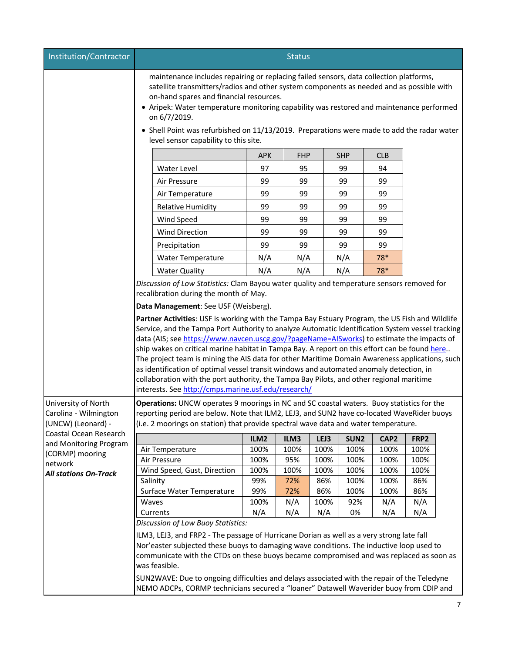| Institution/Contractor                           | <b>Status</b>                                                                                                                                                                                                                                                                                                                                                                                                                                                                                                                                                                                                                                                                                                                                     |             |             |            |                  |                  |             |  |
|--------------------------------------------------|---------------------------------------------------------------------------------------------------------------------------------------------------------------------------------------------------------------------------------------------------------------------------------------------------------------------------------------------------------------------------------------------------------------------------------------------------------------------------------------------------------------------------------------------------------------------------------------------------------------------------------------------------------------------------------------------------------------------------------------------------|-------------|-------------|------------|------------------|------------------|-------------|--|
|                                                  | maintenance includes repairing or replacing failed sensors, data collection platforms,<br>satellite transmitters/radios and other system components as needed and as possible with<br>on-hand spares and financial resources.<br>• Aripek: Water temperature monitoring capability was restored and maintenance performed<br>on 6/7/2019.<br>• Shell Point was refurbished on 11/13/2019. Preparations were made to add the radar water                                                                                                                                                                                                                                                                                                           |             |             |            |                  |                  |             |  |
|                                                  | level sensor capability to this site.                                                                                                                                                                                                                                                                                                                                                                                                                                                                                                                                                                                                                                                                                                             |             |             |            |                  |                  |             |  |
|                                                  |                                                                                                                                                                                                                                                                                                                                                                                                                                                                                                                                                                                                                                                                                                                                                   | <b>APK</b>  | <b>FHP</b>  |            | <b>SHP</b>       | <b>CLB</b>       |             |  |
|                                                  | Water Level                                                                                                                                                                                                                                                                                                                                                                                                                                                                                                                                                                                                                                                                                                                                       | 97          | 95          |            | 99               | 94               |             |  |
|                                                  | Air Pressure                                                                                                                                                                                                                                                                                                                                                                                                                                                                                                                                                                                                                                                                                                                                      | 99          | 99          |            | 99               | 99               |             |  |
|                                                  | Air Temperature                                                                                                                                                                                                                                                                                                                                                                                                                                                                                                                                                                                                                                                                                                                                   | 99          | 99          |            | 99               | 99               |             |  |
|                                                  | Relative Humidity                                                                                                                                                                                                                                                                                                                                                                                                                                                                                                                                                                                                                                                                                                                                 | 99          | 99          |            | 99               | 99               |             |  |
|                                                  | Wind Speed                                                                                                                                                                                                                                                                                                                                                                                                                                                                                                                                                                                                                                                                                                                                        | 99          | 99          |            | 99               | 99               |             |  |
|                                                  | <b>Wind Direction</b>                                                                                                                                                                                                                                                                                                                                                                                                                                                                                                                                                                                                                                                                                                                             | 99          | 99          |            | 99               | 99               |             |  |
|                                                  | Precipitation                                                                                                                                                                                                                                                                                                                                                                                                                                                                                                                                                                                                                                                                                                                                     | 99          | 99          |            | 99               | 99               |             |  |
|                                                  | Water Temperature                                                                                                                                                                                                                                                                                                                                                                                                                                                                                                                                                                                                                                                                                                                                 | N/A         | N/A         |            | N/A              | 78*              |             |  |
|                                                  | <b>Water Quality</b>                                                                                                                                                                                                                                                                                                                                                                                                                                                                                                                                                                                                                                                                                                                              | N/A         | N/A         |            | N/A              | 78*              |             |  |
|                                                  | Discussion of Low Statistics: Clam Bayou water quality and temperature sensors removed for                                                                                                                                                                                                                                                                                                                                                                                                                                                                                                                                                                                                                                                        |             |             |            |                  |                  |             |  |
|                                                  | recalibration during the month of May.                                                                                                                                                                                                                                                                                                                                                                                                                                                                                                                                                                                                                                                                                                            |             |             |            |                  |                  |             |  |
|                                                  | Data Management: See USF (Weisberg).                                                                                                                                                                                                                                                                                                                                                                                                                                                                                                                                                                                                                                                                                                              |             |             |            |                  |                  |             |  |
|                                                  | Partner Activities: USF is working with the Tampa Bay Estuary Program, the US Fish and Wildlife<br>Service, and the Tampa Port Authority to analyze Automatic Identification System vessel tracking<br>data (AIS; see https://www.navcen.uscg.gov/?pageName=AISworks) to estimate the impacts of<br>ship wakes on critical marine habitat in Tampa Bay. A report on this effort can be found here<br>The project team is mining the AIS data for other Maritime Domain Awareness applications, such<br>as identification of optimal vessel transit windows and automated anomaly detection, in<br>collaboration with the port authority, the Tampa Bay Pilots, and other regional maritime<br>interests. See http://cmps.marine.usf.edu/research/ |             |             |            |                  |                  |             |  |
| University of North<br>Carolina - Wilmington     | Operations: UNCW operates 9 moorings in NC and SC coastal waters. Buoy statistics for the<br>reporting period are below. Note that ILM2, LEJ3, and SUN2 have co-located WaveRider buoys                                                                                                                                                                                                                                                                                                                                                                                                                                                                                                                                                           |             |             |            |                  |                  |             |  |
| (UNCW) (Leonard) -                               | (i.e. 2 moorings on station) that provide spectral wave data and water temperature.                                                                                                                                                                                                                                                                                                                                                                                                                                                                                                                                                                                                                                                               |             |             |            |                  |                  |             |  |
| Coastal Ocean Research<br>and Monitoring Program |                                                                                                                                                                                                                                                                                                                                                                                                                                                                                                                                                                                                                                                                                                                                                   | ILM2        | ILM3        | LEJ3       | SUN <sub>2</sub> | CAP <sub>2</sub> | FRP2        |  |
| (CORMP) mooring                                  | Air Temperature                                                                                                                                                                                                                                                                                                                                                                                                                                                                                                                                                                                                                                                                                                                                   | 100%        | 100%        | 100%       | 100%             | 100%             | 100%        |  |
| network                                          | Air Pressure                                                                                                                                                                                                                                                                                                                                                                                                                                                                                                                                                                                                                                                                                                                                      | 100%        | 95%         | 100%       | 100%             | 100%             | 100%        |  |
| <b>All stations On-Track</b>                     | Wind Speed, Gust, Direction                                                                                                                                                                                                                                                                                                                                                                                                                                                                                                                                                                                                                                                                                                                       | 100%<br>99% | 100%<br>72% | 100%       | 100%             | 100%             | 100%<br>86% |  |
|                                                  | Salinity<br>Surface Water Temperature                                                                                                                                                                                                                                                                                                                                                                                                                                                                                                                                                                                                                                                                                                             | 99%         | 72%         | 86%<br>86% | 100%<br>100%     | 100%<br>100%     | 86%         |  |
|                                                  | Waves                                                                                                                                                                                                                                                                                                                                                                                                                                                                                                                                                                                                                                                                                                                                             | 100%        | N/A         | 100%       | 92%              | N/A              | N/A         |  |
|                                                  | Currents                                                                                                                                                                                                                                                                                                                                                                                                                                                                                                                                                                                                                                                                                                                                          | N/A         | N/A         | N/A        | 0%               | N/A              | N/A         |  |
|                                                  | Discussion of Low Buoy Statistics:                                                                                                                                                                                                                                                                                                                                                                                                                                                                                                                                                                                                                                                                                                                |             |             |            |                  |                  |             |  |
|                                                  | ILM3, LEJ3, and FRP2 - The passage of Hurricane Dorian as well as a very strong late fall                                                                                                                                                                                                                                                                                                                                                                                                                                                                                                                                                                                                                                                         |             |             |            |                  |                  |             |  |
|                                                  | Nor'easter subjected these buoys to damaging wave conditions. The inductive loop used to                                                                                                                                                                                                                                                                                                                                                                                                                                                                                                                                                                                                                                                          |             |             |            |                  |                  |             |  |
|                                                  | communicate with the CTDs on these buoys became compromised and was replaced as soon as<br>was feasible.                                                                                                                                                                                                                                                                                                                                                                                                                                                                                                                                                                                                                                          |             |             |            |                  |                  |             |  |
|                                                  | SUN2WAVE: Due to ongoing difficulties and delays associated with the repair of the Teledyne<br>NEMO ADCPs, CORMP technicians secured a "loaner" Datawell Waverider buoy from CDIP and                                                                                                                                                                                                                                                                                                                                                                                                                                                                                                                                                             |             |             |            |                  |                  |             |  |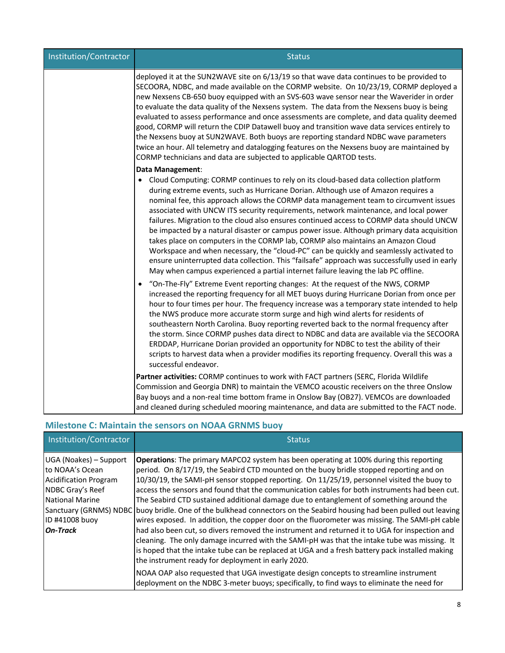| Institution/Contractor | <b>Status</b>                                                                                                                                                                                                                                                                                                                                                                                                                                                                                                                                                                                                                                                                                                                                                                                                                                                                                                                                    |
|------------------------|--------------------------------------------------------------------------------------------------------------------------------------------------------------------------------------------------------------------------------------------------------------------------------------------------------------------------------------------------------------------------------------------------------------------------------------------------------------------------------------------------------------------------------------------------------------------------------------------------------------------------------------------------------------------------------------------------------------------------------------------------------------------------------------------------------------------------------------------------------------------------------------------------------------------------------------------------|
|                        | deployed it at the SUN2WAVE site on 6/13/19 so that wave data continues to be provided to<br>SECOORA, NDBC, and made available on the CORMP website. On 10/23/19, CORMP deployed a<br>new Nexsens CB-650 buoy equipped with an SVS-603 wave sensor near the Waverider in order<br>to evaluate the data quality of the Nexsens system. The data from the Nexsens buoy is being<br>evaluated to assess performance and once assessments are complete, and data quality deemed<br>good, CORMP will return the CDIP Datawell buoy and transition wave data services entirely to<br>the Nexsens buoy at SUN2WAVE. Both buoys are reporting standard NDBC wave parameters<br>twice an hour. All telemetry and datalogging features on the Nexsens buoy are maintained by<br>CORMP technicians and data are subjected to applicable QARTOD tests.                                                                                                       |
|                        | Data Management:<br>• Cloud Computing: CORMP continues to rely on its cloud-based data collection platform<br>during extreme events, such as Hurricane Dorian. Although use of Amazon requires a<br>nominal fee, this approach allows the CORMP data management team to circumvent issues<br>associated with UNCW ITS security requirements, network maintenance, and local power<br>failures. Migration to the cloud also ensures continued access to CORMP data should UNCW<br>be impacted by a natural disaster or campus power issue. Although primary data acquisition<br>takes place on computers in the CORMP lab, CORMP also maintains an Amazon Cloud<br>Workspace and when necessary, the "cloud-PC" can be quickly and seamlessly activated to<br>ensure uninterrupted data collection. This "failsafe" approach was successfully used in early<br>May when campus experienced a partial internet failure leaving the lab PC offline. |
|                        | "On-The-Fly" Extreme Event reporting changes: At the request of the NWS, CORMP<br>increased the reporting frequency for all MET buoys during Hurricane Dorian from once per<br>hour to four times per hour. The frequency increase was a temporary state intended to help<br>the NWS produce more accurate storm surge and high wind alerts for residents of<br>southeastern North Carolina. Buoy reporting reverted back to the normal frequency after<br>the storm. Since CORMP pushes data direct to NDBC and data are available via the SECOORA<br>ERDDAP, Hurricane Dorian provided an opportunity for NDBC to test the ability of their<br>scripts to harvest data when a provider modifies its reporting frequency. Overall this was a<br>successful endeavor.                                                                                                                                                                            |
|                        | Partner activities: CORMP continues to work with FACT partners (SERC, Florida Wildlife<br>Commission and Georgia DNR) to maintain the VEMCO acoustic receivers on the three Onslow<br>Bay buoys and a non-real time bottom frame in Onslow Bay (OB27). VEMCOs are downloaded<br>and cleaned during scheduled mooring maintenance, and data are submitted to the FACT node.                                                                                                                                                                                                                                                                                                                                                                                                                                                                                                                                                                       |

## **Milestone C: Maintain the sensors on NOAA GRNMS buoy**

| Institution/Contractor                                                                                                                                                                 | <b>Status</b>                                                                                                                                                                                                                                                                                                                                                                                                                                                                                                                                                                                                                                                                                                                                                                                                                                                                                                                                                                                                                                  |
|----------------------------------------------------------------------------------------------------------------------------------------------------------------------------------------|------------------------------------------------------------------------------------------------------------------------------------------------------------------------------------------------------------------------------------------------------------------------------------------------------------------------------------------------------------------------------------------------------------------------------------------------------------------------------------------------------------------------------------------------------------------------------------------------------------------------------------------------------------------------------------------------------------------------------------------------------------------------------------------------------------------------------------------------------------------------------------------------------------------------------------------------------------------------------------------------------------------------------------------------|
| UGA (Noakes) – Support<br>to NOAA's Ocean<br><b>Acidification Program</b><br>NDBC Gray's Reef<br><b>National Marine</b><br>Sanctuary (GRNMS) NDBC<br>ID #41008 buoy<br><b>On-Track</b> | <b>Operations:</b> The primary MAPCO2 system has been operating at 100% during this reporting<br>period. On 8/17/19, the Seabird CTD mounted on the buoy bridle stopped reporting and on<br>10/30/19, the SAMI-pH sensor stopped reporting. On 11/25/19, personnel visited the buoy to<br>access the sensors and found that the communication cables for both instruments had been cut.<br>The Seabird CTD sustained additional damage due to entanglement of something around the<br>buoy bridle. One of the bulkhead connectors on the Seabird housing had been pulled out leaving<br>wires exposed. In addition, the copper door on the fluorometer was missing. The SAMI-pH cable<br>had also been cut, so divers removed the instrument and returned it to UGA for inspection and<br>cleaning. The only damage incurred with the SAMI-pH was that the intake tube was missing. It<br>is hoped that the intake tube can be replaced at UGA and a fresh battery pack installed making<br>the instrument ready for deployment in early 2020. |
|                                                                                                                                                                                        | NOAA OAP also requested that UGA investigate design concepts to streamline instrument<br>deployment on the NDBC 3-meter buoys; specifically, to find ways to eliminate the need for                                                                                                                                                                                                                                                                                                                                                                                                                                                                                                                                                                                                                                                                                                                                                                                                                                                            |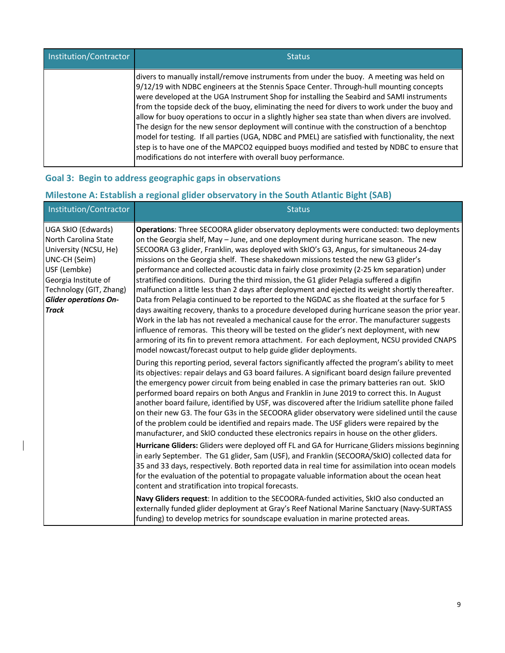| Institution/Contractor | <b>Status</b>                                                                                                                                                                                                                                                                                                                                                                                                                                                                                                                                                                                                                                                                                                                                                                                                                                            |
|------------------------|----------------------------------------------------------------------------------------------------------------------------------------------------------------------------------------------------------------------------------------------------------------------------------------------------------------------------------------------------------------------------------------------------------------------------------------------------------------------------------------------------------------------------------------------------------------------------------------------------------------------------------------------------------------------------------------------------------------------------------------------------------------------------------------------------------------------------------------------------------|
|                        | divers to manually install/remove instruments from under the buoy. A meeting was held on<br>9/12/19 with NDBC engineers at the Stennis Space Center. Through-hull mounting concepts<br>were developed at the UGA Instrument Shop for installing the Seabird and SAMI instruments<br>from the topside deck of the buoy, eliminating the need for divers to work under the buoy and<br>allow for buoy operations to occur in a slightly higher sea state than when divers are involved.<br>The design for the new sensor deployment will continue with the construction of a benchtop<br>model for testing. If all parties (UGA, NDBC and PMEL) are satisfied with functionality, the next<br>step is to have one of the MAPCO2 equipped buoys modified and tested by NDBC to ensure that<br>modifications do not interfere with overall buoy performance. |

## **Goal 3: Begin to address geographic gaps in observations**

 $\overline{\phantom{a}}$ 

## **Milestone A: Establish a regional glider observatory in the South Atlantic Bight (SAB)**

| Institution/Contractor                                                                                                                                                                                  | <b>Status</b>                                                                                                                                                                                                                                                                                                                                                                                                                                                                                                                                                                                                                                                                                                                                                                                                                                                                                                                                                                                                                                                                                                                                                                                                                                                                                                                                |
|---------------------------------------------------------------------------------------------------------------------------------------------------------------------------------------------------------|----------------------------------------------------------------------------------------------------------------------------------------------------------------------------------------------------------------------------------------------------------------------------------------------------------------------------------------------------------------------------------------------------------------------------------------------------------------------------------------------------------------------------------------------------------------------------------------------------------------------------------------------------------------------------------------------------------------------------------------------------------------------------------------------------------------------------------------------------------------------------------------------------------------------------------------------------------------------------------------------------------------------------------------------------------------------------------------------------------------------------------------------------------------------------------------------------------------------------------------------------------------------------------------------------------------------------------------------|
| UGA SkIO (Edwards)<br>North Carolina State<br>University (NCSU, He)<br>UNC-CH (Seim)<br>USF (Lembke)<br>Georgia Institute of<br>Technology (GIT, Zhang)<br><b>Glider operations On-</b><br><b>Track</b> | Operations: Three SECOORA glider observatory deployments were conducted: two deployments<br>on the Georgia shelf, May - June, and one deployment during hurricane season. The new<br>SECOORA G3 glider, Franklin, was deployed with SkIO's G3, Angus, for simultaneous 24-day<br>missions on the Georgia shelf. These shakedown missions tested the new G3 glider's<br>performance and collected acoustic data in fairly close proximity (2-25 km separation) under<br>stratified conditions. During the third mission, the G1 glider Pelagia suffered a digifin<br>malfunction a little less than 2 days after deployment and ejected its weight shortly thereafter.<br>Data from Pelagia continued to be reported to the NGDAC as she floated at the surface for 5<br>days awaiting recovery, thanks to a procedure developed during hurricane season the prior year.<br>Work in the lab has not revealed a mechanical cause for the error. The manufacturer suggests<br>influence of remoras. This theory will be tested on the glider's next deployment, with new<br>armoring of its fin to prevent remora attachment. For each deployment, NCSU provided CNAPS<br>model nowcast/forecast output to help guide glider deployments.<br>During this reporting period, several factors significantly affected the program's ability to meet |
|                                                                                                                                                                                                         | its objectives: repair delays and G3 board failures. A significant board design failure prevented<br>the emergency power circuit from being enabled in case the primary batteries ran out. SkIO<br>performed board repairs on both Angus and Franklin in June 2019 to correct this. In August<br>another board failure, identified by USF, was discovered after the Iridium satellite phone failed<br>on their new G3. The four G3s in the SECOORA glider observatory were sidelined until the cause<br>of the problem could be identified and repairs made. The USF gliders were repaired by the<br>manufacturer, and SkIO conducted these electronics repairs in house on the other gliders.                                                                                                                                                                                                                                                                                                                                                                                                                                                                                                                                                                                                                                               |
|                                                                                                                                                                                                         | Hurricane Gliders: Gliders were deployed off FL and GA for Hurricane Gliders missions beginning<br>in early September. The G1 glider, Sam (USF), and Franklin (SECOORA/SkIO) collected data for<br>35 and 33 days, respectively. Both reported data in real time for assimilation into ocean models<br>for the evaluation of the potential to propagate valuable information about the ocean heat<br>content and stratification into tropical forecasts.                                                                                                                                                                                                                                                                                                                                                                                                                                                                                                                                                                                                                                                                                                                                                                                                                                                                                     |
|                                                                                                                                                                                                         | Navy Gliders request: In addition to the SECOORA-funded activities, SkIO also conducted an<br>externally funded glider deployment at Gray's Reef National Marine Sanctuary (Navy-SURTASS<br>funding) to develop metrics for soundscape evaluation in marine protected areas.                                                                                                                                                                                                                                                                                                                                                                                                                                                                                                                                                                                                                                                                                                                                                                                                                                                                                                                                                                                                                                                                 |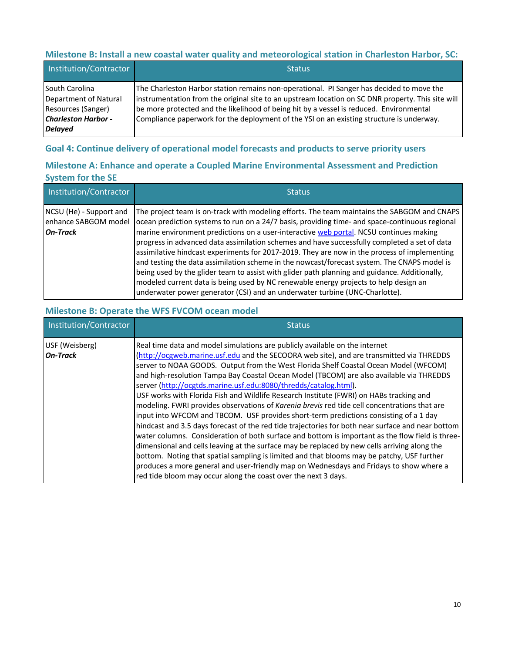## **Milestone B: Install a new coastal water quality and meteorological station in Charleston Harbor, SC:**

| Institution/Contractor                                                                                        | <b>Status</b>                                                                                                                                                                                                                                                                                                                                                                        |
|---------------------------------------------------------------------------------------------------------------|--------------------------------------------------------------------------------------------------------------------------------------------------------------------------------------------------------------------------------------------------------------------------------------------------------------------------------------------------------------------------------------|
| South Carolina<br>Department of Natural<br>Resources (Sanger)<br><b>Charleston Harbor -</b><br><b>Delayed</b> | The Charleston Harbor station remains non-operational. PI Sanger has decided to move the<br>instrumentation from the original site to an upstream location on SC DNR property. This site will<br>be more protected and the likelihood of being hit by a vessel is reduced. Environmental<br>Compliance paperwork for the deployment of the YSI on an existing structure is underway. |

## **Goal 4: Continue delivery of operational model forecasts and products to serve priority users**

## **Milestone A: Enhance and operate a Coupled Marine Environmental Assessment and Prediction System for the SE**

| Institution/Contractor                                             | <b>Status</b>                                                                                                                                                                                                                                                                                                                                                                                                                                                                                                                                                                                                                                                                                                                                                                                                                                                  |
|--------------------------------------------------------------------|----------------------------------------------------------------------------------------------------------------------------------------------------------------------------------------------------------------------------------------------------------------------------------------------------------------------------------------------------------------------------------------------------------------------------------------------------------------------------------------------------------------------------------------------------------------------------------------------------------------------------------------------------------------------------------------------------------------------------------------------------------------------------------------------------------------------------------------------------------------|
| NCSU (He) - Support and<br>enhance SABGOM model<br><b>On-Track</b> | The project team is on-track with modeling efforts. The team maintains the SABGOM and CNAPS<br>ocean prediction systems to run on a 24/7 basis, providing time- and space-continuous regional<br>marine environment predictions on a user-interactive web portal. NCSU continues making<br>progress in advanced data assimilation schemes and have successfully completed a set of data<br>assimilative hindcast experiments for 2017-2019. They are now in the process of implementing<br>and testing the data assimilation scheme in the nowcast/forecast system. The CNAPS model is<br>being used by the glider team to assist with glider path planning and guidance. Additionally,<br>modeled current data is being used by NC renewable energy projects to help design an<br>underwater power generator (CSI) and an underwater turbine (UNC-Charlotte). |

## **Milestone B: Operate the WFS FVCOM ocean model**

| Institution/Contractor            | <b>Status</b>                                                                                                                                                                                                                                                                                                                                                                                                                                                                                                                                                                                                                                                                                                                                                                                                                                                                                                                                                                                                                                                                                                                                                                                                                                                                           |
|-----------------------------------|-----------------------------------------------------------------------------------------------------------------------------------------------------------------------------------------------------------------------------------------------------------------------------------------------------------------------------------------------------------------------------------------------------------------------------------------------------------------------------------------------------------------------------------------------------------------------------------------------------------------------------------------------------------------------------------------------------------------------------------------------------------------------------------------------------------------------------------------------------------------------------------------------------------------------------------------------------------------------------------------------------------------------------------------------------------------------------------------------------------------------------------------------------------------------------------------------------------------------------------------------------------------------------------------|
| USF (Weisberg)<br><b>On-Track</b> | Real time data and model simulations are publicly available on the internet<br>(http://ocgweb.marine.usf.edu and the SECOORA web site), and are transmitted via THREDDS<br>server to NOAA GOODS. Output from the West Florida Shelf Coastal Ocean Model (WFCOM)<br>and high-resolution Tampa Bay Coastal Ocean Model (TBCOM) are also available via THREDDS<br>server (http://ocgtds.marine.usf.edu:8080/thredds/catalog.html).<br>USF works with Florida Fish and Wildlife Research Institute (FWRI) on HABs tracking and<br>modeling. FWRI provides observations of Karenia brevis red tide cell concentrations that are<br>input into WFCOM and TBCOM. USF provides short-term predictions consisting of a 1 day<br>hindcast and 3.5 days forecast of the red tide trajectories for both near surface and near bottom<br>water columns. Consideration of both surface and bottom is important as the flow field is three-<br>dimensional and cells leaving at the surface may be replaced by new cells arriving along the<br>bottom. Noting that spatial sampling is limited and that blooms may be patchy, USF further<br>produces a more general and user-friendly map on Wednesdays and Fridays to show where a<br>red tide bloom may occur along the coast over the next 3 days. |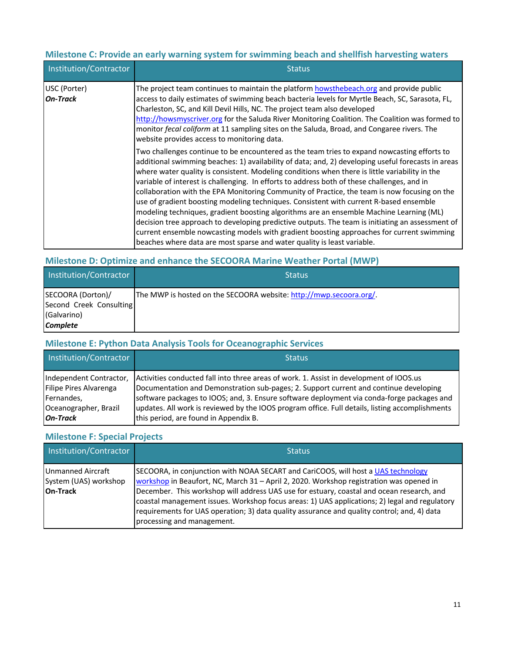## **Milestone C: Provide an early warning system for swimming beach and shellfish harvesting waters**

| Institution/Contractor   | <b>Status</b>                                                                                                                                                                                                                                                                                                                                                                                                                                                                                                                                                                                                                                                                                                                                                                                                                                                                                                                                                       |
|--------------------------|---------------------------------------------------------------------------------------------------------------------------------------------------------------------------------------------------------------------------------------------------------------------------------------------------------------------------------------------------------------------------------------------------------------------------------------------------------------------------------------------------------------------------------------------------------------------------------------------------------------------------------------------------------------------------------------------------------------------------------------------------------------------------------------------------------------------------------------------------------------------------------------------------------------------------------------------------------------------|
| USC (Porter)<br>On-Track | The project team continues to maintain the platform howsthebeach.org and provide public<br>access to daily estimates of swimming beach bacteria levels for Myrtle Beach, SC, Sarasota, FL,<br>Charleston, SC, and Kill Devil Hills, NC. The project team also developed<br>http://howsmyscriver.org for the Saluda River Monitoring Coalition. The Coalition was formed to<br>monitor fecal coliform at 11 sampling sites on the Saluda, Broad, and Congaree rivers. The<br>website provides access to monitoring data.                                                                                                                                                                                                                                                                                                                                                                                                                                             |
|                          | Two challenges continue to be encountered as the team tries to expand nowcasting efforts to<br>additional swimming beaches: 1) availability of data; and, 2) developing useful forecasts in areas<br>where water quality is consistent. Modeling conditions when there is little variability in the<br>variable of interest is challenging. In efforts to address both of these challenges, and in<br>collaboration with the EPA Monitoring Community of Practice, the team is now focusing on the<br>use of gradient boosting modeling techniques. Consistent with current R-based ensemble<br>modeling techniques, gradient boosting algorithms are an ensemble Machine Learning (ML)<br>decision tree approach to developing predictive outputs. The team is initiating an assessment of<br>current ensemble nowcasting models with gradient boosting approaches for current swimming<br>beaches where data are most sparse and water quality is least variable. |

## **Milestone D: Optimize and enhance the SECOORA Marine Weather Portal (MWP)**

| Institution/Contractor                                                  | <b>Status</b>                                                      |
|-------------------------------------------------------------------------|--------------------------------------------------------------------|
| SECOORA (Dorton)/<br>Second Creek Consulting<br>(Galvarino)<br>Complete | The MWP is hosted on the SECOORA website: http://mwp.secoora.org/. |

## **Milestone E: Python Data Analysis Tools for Oceanographic Services**

| Institution/Contractor  | <b>Status</b>                                                                                   |
|-------------------------|-------------------------------------------------------------------------------------------------|
| Independent Contractor, | Activities conducted fall into three areas of work. 1. Assist in development of IOOS.us         |
| Filipe Pires Alvarenga  | Documentation and Demonstration sub-pages; 2. Support current and continue developing           |
| Fernandes,              | software packages to IOOS; and, 3. Ensure software deployment via conda-forge packages and      |
| Oceanographer, Brazil   | updates. All work is reviewed by the IOOS program office. Full details, listing accomplishments |
| <b>On-Track</b>         | this period, are found in Appendix B.                                                           |

## **Milestone F: Special Projects**

| Institution/Contractor                                        | <b>Status</b>                                                                                                                                                                                                                                                                                                                                                                                                                                                                                           |
|---------------------------------------------------------------|---------------------------------------------------------------------------------------------------------------------------------------------------------------------------------------------------------------------------------------------------------------------------------------------------------------------------------------------------------------------------------------------------------------------------------------------------------------------------------------------------------|
| Unmanned Aircraft<br>System (UAS) workshop<br><b>On-Track</b> | SECOORA, in conjunction with NOAA SECART and CariCOOS, will host a UAS technology<br>workshop in Beaufort, NC, March 31 - April 2, 2020. Workshop registration was opened in<br>December. This workshop will address UAS use for estuary, coastal and ocean research, and<br>coastal management issues. Workshop focus areas: 1) UAS applications; 2) legal and regulatory<br>requirements for UAS operation; 3) data quality assurance and quality control; and, 4) data<br>processing and management. |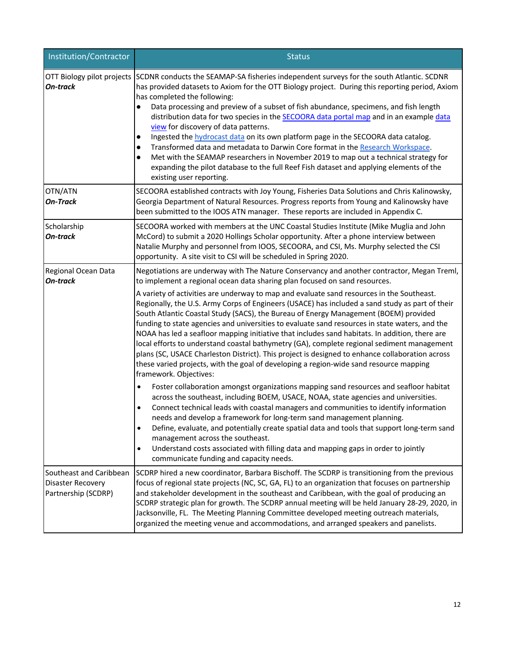| Institution/Contractor                                                     | <b>Status</b>                                                                                                                                                                                                                                                                                                                                                                                                                                                                                                                                                                                                                                                                                                                                                                                                                                                                                                                                                                                                                                                                                                                                                                                                                                                                                                                                                                                                                                                                                                                                                                                                                                   |
|----------------------------------------------------------------------------|-------------------------------------------------------------------------------------------------------------------------------------------------------------------------------------------------------------------------------------------------------------------------------------------------------------------------------------------------------------------------------------------------------------------------------------------------------------------------------------------------------------------------------------------------------------------------------------------------------------------------------------------------------------------------------------------------------------------------------------------------------------------------------------------------------------------------------------------------------------------------------------------------------------------------------------------------------------------------------------------------------------------------------------------------------------------------------------------------------------------------------------------------------------------------------------------------------------------------------------------------------------------------------------------------------------------------------------------------------------------------------------------------------------------------------------------------------------------------------------------------------------------------------------------------------------------------------------------------------------------------------------------------|
| On-track                                                                   | OTT Biology pilot projects SCDNR conducts the SEAMAP-SA fisheries independent surveys for the south Atlantic. SCDNR<br>has provided datasets to Axiom for the OTT Biology project. During this reporting period, Axiom<br>has completed the following:<br>Data processing and preview of a subset of fish abundance, specimens, and fish length<br>distribution data for two species in the SECOORA data portal map and in an example data<br>view for discovery of data patterns.<br>Ingested the hydrocast data on its own platform page in the SECOORA data catalog.<br>$\bullet$<br>Transformed data and metadata to Darwin Core format in the Research Workspace.<br>$\bullet$<br>Met with the SEAMAP researchers in November 2019 to map out a technical strategy for<br>$\bullet$<br>expanding the pilot database to the full Reef Fish dataset and applying elements of the<br>existing user reporting.                                                                                                                                                                                                                                                                                                                                                                                                                                                                                                                                                                                                                                                                                                                                 |
| OTN/ATN<br><b>On-Track</b>                                                 | SECOORA established contracts with Joy Young, Fisheries Data Solutions and Chris Kalinowsky,<br>Georgia Department of Natural Resources. Progress reports from Young and Kalinowsky have<br>been submitted to the IOOS ATN manager. These reports are included in Appendix C.                                                                                                                                                                                                                                                                                                                                                                                                                                                                                                                                                                                                                                                                                                                                                                                                                                                                                                                                                                                                                                                                                                                                                                                                                                                                                                                                                                   |
| Scholarship<br>On-track                                                    | SECOORA worked with members at the UNC Coastal Studies Institute (Mike Muglia and John<br>McCord) to submit a 2020 Hollings Scholar opportunity. After a phone interview between<br>Natalie Murphy and personnel from IOOS, SECOORA, and CSI, Ms. Murphy selected the CSI<br>opportunity. A site visit to CSI will be scheduled in Spring 2020.                                                                                                                                                                                                                                                                                                                                                                                                                                                                                                                                                                                                                                                                                                                                                                                                                                                                                                                                                                                                                                                                                                                                                                                                                                                                                                 |
| Regional Ocean Data<br><b>On-track</b>                                     | Negotiations are underway with The Nature Conservancy and another contractor, Megan Treml,<br>to implement a regional ocean data sharing plan focused on sand resources.<br>A variety of activities are underway to map and evaluate sand resources in the Southeast.<br>Regionally, the U.S. Army Corps of Engineers (USACE) has included a sand study as part of their<br>South Atlantic Coastal Study (SACS), the Bureau of Energy Management (BOEM) provided<br>funding to state agencies and universities to evaluate sand resources in state waters, and the<br>NOAA has led a seafloor mapping initiative that includes sand habitats. In addition, there are<br>local efforts to understand coastal bathymetry (GA), complete regional sediment management<br>plans (SC, USACE Charleston District). This project is designed to enhance collaboration across<br>these varied projects, with the goal of developing a region-wide sand resource mapping<br>framework. Objectives:<br>Foster collaboration amongst organizations mapping sand resources and seafloor habitat<br>$\bullet$<br>across the southeast, including BOEM, USACE, NOAA, state agencies and universities.<br>Connect technical leads with coastal managers and communities to identify information<br>needs and develop a framework for long-term sand management planning.<br>Define, evaluate, and potentially create spatial data and tools that support long-term sand<br>$\bullet$<br>management across the southeast.<br>Understand costs associated with filling data and mapping gaps in order to jointly<br>٠<br>communicate funding and capacity needs. |
| Southeast and Caribbean<br><b>Disaster Recovery</b><br>Partnership (SCDRP) | SCDRP hired a new coordinator, Barbara Bischoff. The SCDRP is transitioning from the previous<br>focus of regional state projects (NC, SC, GA, FL) to an organization that focuses on partnership<br>and stakeholder development in the southeast and Caribbean, with the goal of producing an<br>SCDRP strategic plan for growth. The SCDRP annual meeting will be held January 28-29, 2020, in<br>Jacksonville, FL. The Meeting Planning Committee developed meeting outreach materials,<br>organized the meeting venue and accommodations, and arranged speakers and panelists.                                                                                                                                                                                                                                                                                                                                                                                                                                                                                                                                                                                                                                                                                                                                                                                                                                                                                                                                                                                                                                                              |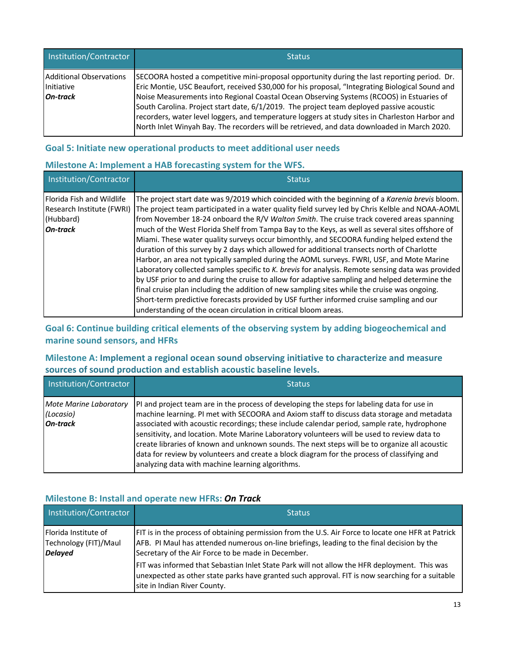| Institution/Contractor                                   | <b>Status</b>                                                                                                                                                                                                                                                                                                                                                                                                                                                                                                                                                                              |
|----------------------------------------------------------|--------------------------------------------------------------------------------------------------------------------------------------------------------------------------------------------------------------------------------------------------------------------------------------------------------------------------------------------------------------------------------------------------------------------------------------------------------------------------------------------------------------------------------------------------------------------------------------------|
| Additional Observations<br>Initiative<br><b>On-track</b> | SECOORA hosted a competitive mini-proposal opportunity during the last reporting period. Dr.<br>Eric Montie, USC Beaufort, received \$30,000 for his proposal, "Integrating Biological Sound and<br>Noise Measurements into Regional Coastal Ocean Observing Systems (RCOOS) in Estuaries of<br>South Carolina. Project start date, 6/1/2019. The project team deployed passive acoustic<br>recorders, water level loggers, and temperature loggers at study sites in Charleston Harbor and<br>North Inlet Winyah Bay. The recorders will be retrieved, and data downloaded in March 2020. |

## **Goal 5: Initiate new operational products to meet additional user needs**

## **Milestone A: Implement a HAB forecasting system for the WFS.**

| Institution/Contractor                                                                        | <b>Status</b>                                                                                                                                                                                                                                                                                                                                                                                                                                                                                                                                                                                                                                                                                                                                                                                                                                                                                                                                                                                                                                                                                                                                                    |
|-----------------------------------------------------------------------------------------------|------------------------------------------------------------------------------------------------------------------------------------------------------------------------------------------------------------------------------------------------------------------------------------------------------------------------------------------------------------------------------------------------------------------------------------------------------------------------------------------------------------------------------------------------------------------------------------------------------------------------------------------------------------------------------------------------------------------------------------------------------------------------------------------------------------------------------------------------------------------------------------------------------------------------------------------------------------------------------------------------------------------------------------------------------------------------------------------------------------------------------------------------------------------|
| <b>Florida Fish and Wildlife</b><br>Research Institute (FWRI)<br>(Hubbard)<br><b>On-track</b> | The project start date was 9/2019 which coincided with the beginning of a Karenia brevis bloom.<br>The project team participated in a water quality field survey led by Chris Kelble and NOAA-AOML<br>from November 18-24 onboard the R/V Walton Smith. The cruise track covered areas spanning<br>much of the West Florida Shelf from Tampa Bay to the Keys, as well as several sites offshore of<br>Miami. These water quality surveys occur bimonthly, and SECOORA funding helped extend the<br>duration of this survey by 2 days which allowed for additional transects north of Charlotte<br>Harbor, an area not typically sampled during the AOML surveys. FWRI, USF, and Mote Marine<br>Laboratory collected samples specific to K. brevis for analysis. Remote sensing data was provided<br>by USF prior to and during the cruise to allow for adaptive sampling and helped determine the<br>final cruise plan including the addition of new sampling sites while the cruise was ongoing.<br>Short-term predictive forecasts provided by USF further informed cruise sampling and our<br>understanding of the ocean circulation in critical bloom areas. |

**Goal 6: Continue building critical elements of the observing system by adding biogeochemical and marine sound sensors, and HFRs**

## **Milestone A: Implement a regional ocean sound observing initiative to characterize and measure sources of sound production and establish acoustic baseline levels.**

| Institution/Contractor                                 | <b>Status</b>                                                                                                                                                                                                                                                                                                                                                                                                                                                                                                                                                                                                                               |
|--------------------------------------------------------|---------------------------------------------------------------------------------------------------------------------------------------------------------------------------------------------------------------------------------------------------------------------------------------------------------------------------------------------------------------------------------------------------------------------------------------------------------------------------------------------------------------------------------------------------------------------------------------------------------------------------------------------|
| Mote Marine Laboratory<br>(Locasio)<br><b>On-track</b> | PI and project team are in the process of developing the steps for labeling data for use in<br>machine learning. PI met with SECOORA and Axiom staff to discuss data storage and metadata<br>associated with acoustic recordings; these include calendar period, sample rate, hydrophone<br>sensitivity, and location. Mote Marine Laboratory volunteers will be used to review data to<br>create libraries of known and unknown sounds. The next steps will be to organize all acoustic<br>data for review by volunteers and create a block diagram for the process of classifying and<br>analyzing data with machine learning algorithms. |

## **Milestone B: Install and operate new HFRs:** *On Track*

| Institution/Contractor                                          | <b>Status</b>                                                                                                                                                                                                                                          |
|-----------------------------------------------------------------|--------------------------------------------------------------------------------------------------------------------------------------------------------------------------------------------------------------------------------------------------------|
| Florida Institute of<br>Technology (FIT)/Maul<br><b>Delayed</b> | FIT is in the process of obtaining permission from the U.S. Air Force to locate one HFR at Patrick<br>AFB. PI Maul has attended numerous on-line briefings, leading to the final decision by the<br>Secretary of the Air Force to be made in December. |
|                                                                 | FIT was informed that Sebastian Inlet State Park will not allow the HFR deployment. This was<br>unexpected as other state parks have granted such approval. FIT is now searching for a suitable<br>site in Indian River County.                        |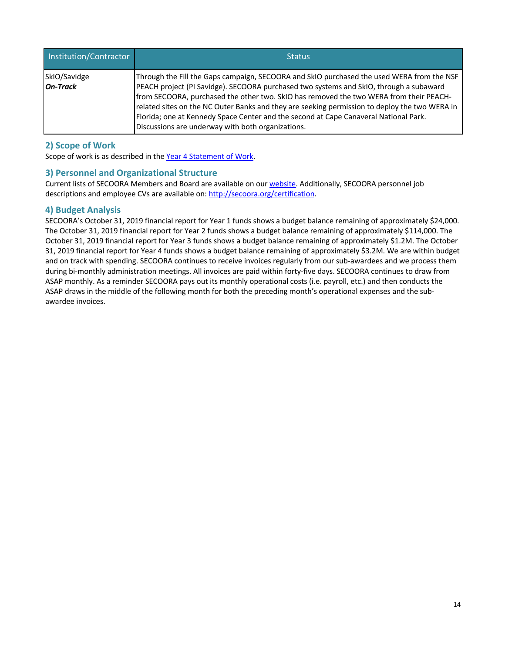| Institution/Contractor          | <b>Status</b>                                                                                                                                                                                                                                                                                                                                                                                                                                                                                                               |
|---------------------------------|-----------------------------------------------------------------------------------------------------------------------------------------------------------------------------------------------------------------------------------------------------------------------------------------------------------------------------------------------------------------------------------------------------------------------------------------------------------------------------------------------------------------------------|
| SkIO/Savidge<br><b>On-Track</b> | Through the Fill the Gaps campaign, SECOORA and SkIO purchased the used WERA from the NSF<br>PEACH project (PI Savidge). SECOORA purchased two systems and SkIO, through a subaward<br>from SECOORA, purchased the other two. SkIO has removed the two WERA from their PEACH-<br>related sites on the NC Outer Banks and they are seeking permission to deploy the two WERA in<br>Florida; one at Kennedy Space Center and the second at Cape Canaveral National Park.<br>Discussions are underway with both organizations. |

## **2) Scope of Work**

Scope of work is as described in the Year 4 Statement of Work.

### **3) Personnel and Organizational Structure**

Current lists of SECOORA Members and Board are available on our website. Additionally, SECOORA personnel job descriptions and employee CVs are available on: http://secoora.org/certification.

### **4) Budget Analysis**

SECOORA's October 31, 2019 financial report for Year 1 funds shows a budget balance remaining of approximately \$24,000. The October 31, 2019 financial report for Year 2 funds shows a budget balance remaining of approximately \$114,000. The October 31, 2019 financial report for Year 3 funds shows a budget balance remaining of approximately \$1.2M. The October 31, 2019 financial report for Year 4 funds shows a budget balance remaining of approximately \$3.2M. We are within budget and on track with spending. SECOORA continues to receive invoices regularly from our sub-awardees and we process them during bi-monthly administration meetings. All invoices are paid within forty-five days. SECOORA continues to draw from ASAP monthly. As a reminder SECOORA pays out its monthly operational costs (i.e. payroll, etc.) and then conducts the ASAP draws in the middle of the following month for both the preceding month's operational expenses and the subawardee invoices.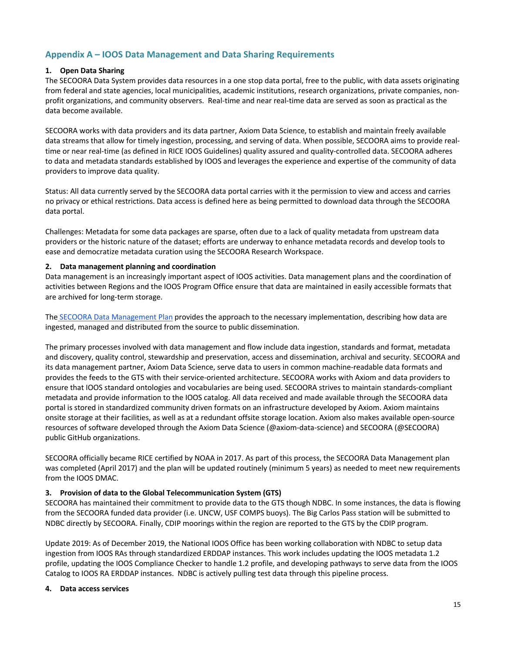## **Appendix A – IOOS Data Management and Data Sharing Requirements**

#### **1. Open Data Sharing**

The SECOORA Data System provides data resources in a one stop data portal, free to the public, with data assets originating from federal and state agencies, local municipalities, academic institutions, research organizations, private companies, nonprofit organizations, and community observers. Real-time and near real-time data are served as soon as practical as the data become available.

SECOORA works with data providers and its data partner, Axiom Data Science, to establish and maintain freely available data streams that allow for timely ingestion, processing, and serving of data. When possible, SECOORA aims to provide realtime or near real-time (as defined in RICE IOOS Guidelines) quality assured and quality-controlled data. SECOORA adheres to data and metadata standards established by IOOS and leverages the experience and expertise of the community of data providers to improve data quality.

Status: All data currently served by the SECOORA data portal carries with it the permission to view and access and carries no privacy or ethical restrictions. Data access is defined here as being permitted to download data through the SECOORA data portal.

Challenges: Metadata for some data packages are sparse, often due to a lack of quality metadata from upstream data providers or the historic nature of the dataset; efforts are underway to enhance metadata records and develop tools to ease and democratize metadata curation using the SECOORA Research Workspace.

#### **2. Data management planning and coordination**

Data management is an increasingly important aspect of IOOS activities. Data management plans and the coordination of activities between Regions and the IOOS Program Office ensure that data are maintained in easily accessible formats that are archived for long-term storage.

The SECOORA Data Management Plan provides the approach to the necessary implementation, describing how data are ingested, managed and distributed from the source to public dissemination.

The primary processes involved with data management and flow include data ingestion, standards and format, metadata and discovery, quality control, stewardship and preservation, access and dissemination, archival and security. SECOORA and its data management partner, Axiom Data Science, serve data to users in common machine-readable data formats and provides the feeds to the GTS with their service-oriented architecture. SECOORA works with Axiom and data providers to ensure that IOOS standard ontologies and vocabularies are being used. SECOORA strives to maintain standards-compliant metadata and provide information to the IOOS catalog. All data received and made available through the SECOORA data portal is stored in standardized community driven formats on an infrastructure developed by Axiom. Axiom maintains onsite storage at their facilities, as well as at a redundant offsite storage location. Axiom also makes available open-source resources of software developed through the Axiom Data Science (@axiom-data-science) and SECOORA (@SECOORA) public GitHub organizations.

SECOORA officially became RICE certified by NOAA in 2017. As part of this process, the SECOORA Data Management plan was completed (April 2017) and the plan will be updated routinely (minimum 5 years) as needed to meet new requirements from the IOOS DMAC.

#### **3. Provision of data to the Global Telecommunication System (GTS)**

SECOORA has maintained their commitment to provide data to the GTS though NDBC. In some instances, the data is flowing from the SECOORA funded data provider (i.e. UNCW, USF COMPS buoys). The Big Carlos Pass station will be submitted to NDBC directly by SECOORA. Finally, CDIP moorings within the region are reported to the GTS by the CDIP program.

Update 2019: As of December 2019, the National IOOS Office has been working collaboration with NDBC to setup data ingestion from IOOS RAs through standardized ERDDAP instances. This work includes updating the IOOS metadata 1.2 profile, updating the IOOS Compliance Checker to handle 1.2 profile, and developing pathways to serve data from the IOOS Catalog to IOOS RA ERDDAP instances. NDBC is actively pulling test data through this pipeline process.

#### **4. Data access services**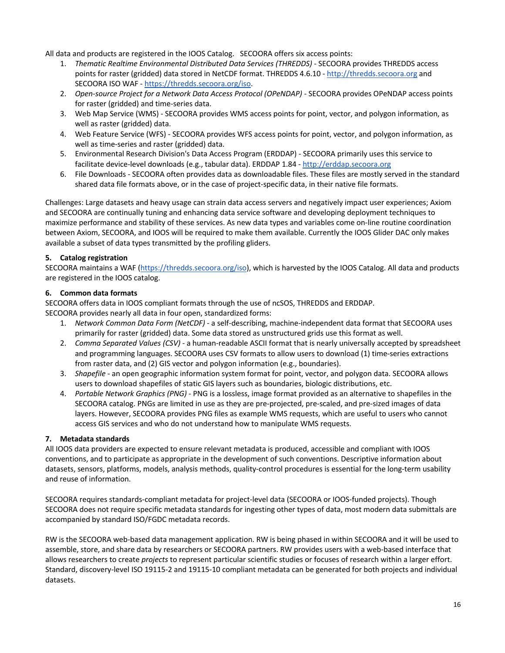All data and products are registered in the IOOS Catalog. SECOORA offers six access points:

- 1. *Thematic Realtime Environmental Distributed Data Services (THREDDS)* SECOORA provides THREDDS access points for raster (gridded) data stored in NetCDF format. THREDDS 4.6.10 - http://thredds.secoora.org and SECOORA ISO WAF - https://thredds.secoora.org/iso.
- 2. *Open-source Project for a Network Data Access Protocol (OPeNDAP) SECOORA provides OPeNDAP access points* for raster (gridded) and time-series data.
- 3. Web Map Service (WMS) SECOORA provides WMS access points for point, vector, and polygon information, as well as raster (gridded) data.
- 4. Web Feature Service (WFS) SECOORA provides WFS access points for point, vector, and polygon information, as well as time-series and raster (gridded) data.
- 5. Environmental Research Division's Data Access Program (ERDDAP) SECOORA primarily uses this service to facilitate device-level downloads (e.g., tabular data). ERDDAP 1.84 - http://erddap.secoora.org
- 6. File Downloads SECOORA often provides data as downloadable files. These files are mostly served in the standard shared data file formats above, or in the case of project-specific data, in their native file formats.

Challenges: Large datasets and heavy usage can strain data access servers and negatively impact user experiences; Axiom and SECOORA are continually tuning and enhancing data service software and developing deployment techniques to maximize performance and stability of these services. As new data types and variables come on-line routine coordination between Axiom, SECOORA, and IOOS will be required to make them available. Currently the IOOS Glider DAC only makes available a subset of data types transmitted by the profiling gliders.

#### **5. Catalog registration**

SECOORA maintains a WAF (https://thredds.secoora.org/iso), which is harvested by the IOOS Catalog. All data and products are registered in the IOOS catalog.

#### **6. Common data formats**

SECOORA offers data in IOOS compliant formats through the use of ncSOS, THREDDS and ERDDAP. SECOORA provides nearly all data in four open, standardized forms:

- 1. *Network Common Data Form (NetCDF)*  a self-describing, machine-independent data format that SECOORA uses primarily for raster (gridded) data. Some data stored as unstructured grids use this format as well.
- 2. *Comma Separated Values (CSV)* a human-readable ASCII format that is nearly universally accepted by spreadsheet and programming languages. SECOORA uses CSV formats to allow users to download (1) time-series extractions from raster data, and (2) GIS vector and polygon information (e.g., boundaries).
- 3. *Shapefile* an open geographic information system format for point, vector, and polygon data. SECOORA allows users to download shapefiles of static GIS layers such as boundaries, biologic distributions, etc.
- 4. *Portable Network Graphics (PNG)* PNG is a lossless, image format provided as an alternative to shapefiles in the SECOORA catalog. PNGs are limited in use as they are pre-projected, pre-scaled, and pre-sized images of data layers. However, SECOORA provides PNG files as example WMS requests, which are useful to users who cannot access GIS services and who do not understand how to manipulate WMS requests.

#### **7. Metadata standards**

All IOOS data providers are expected to ensure relevant metadata is produced, accessible and compliant with IOOS conventions, and to participate as appropriate in the development of such conventions. Descriptive information about datasets, sensors, platforms, models, analysis methods, quality-control procedures is essential for the long-term usability and reuse of information.

SECOORA requires standards-compliant metadata for project-level data (SECOORA or IOOS-funded projects). Though SECOORA does not require specific metadata standards for ingesting other types of data, most modern data submittals are accompanied by standard ISO/FGDC metadata records.

RW is the SECOORA web-based data management application. RW is being phased in within SECOORA and it will be used to assemble, store, and share data by researchers or SECOORA partners. RW provides users with a web-based interface that allows researchers to create *projects* to represent particular scientific studies or focuses of research within a larger effort. Standard, discovery-level ISO 19115-2 and 19115-10 compliant metadata can be generated for both projects and individual datasets.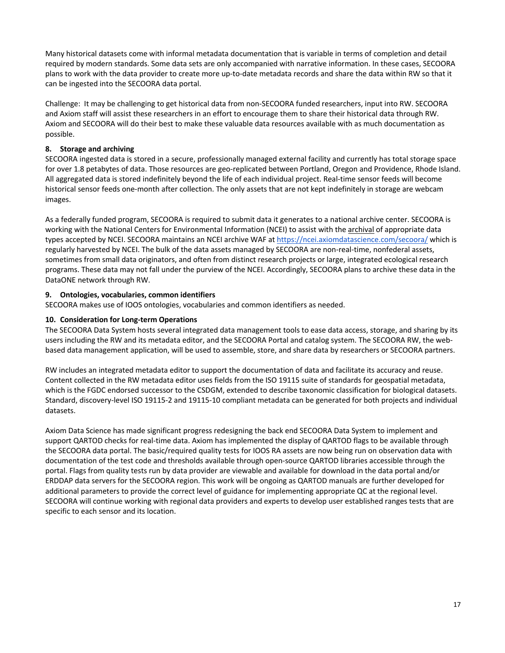Many historical datasets come with informal metadata documentation that is variable in terms of completion and detail required by modern standards. Some data sets are only accompanied with narrative information. In these cases, SECOORA plans to work with the data provider to create more up-to-date metadata records and share the data within RW so that it can be ingested into the SECOORA data portal.

Challenge: It may be challenging to get historical data from non-SECOORA funded researchers, input into RW. SECOORA and Axiom staff will assist these researchers in an effort to encourage them to share their historical data through RW. Axiom and SECOORA will do their best to make these valuable data resources available with as much documentation as possible.

#### **8. Storage and archiving**

SECOORA ingested data is stored in a secure, professionally managed external facility and currently has total storage space for over 1.8 petabytes of data. Those resources are geo-replicated between Portland, Oregon and Providence, Rhode Island. All aggregated data is stored indefinitely beyond the life of each individual project. Real-time sensor feeds will become historical sensor feeds one-month after collection. The only assets that are not kept indefinitely in storage are webcam images.

As a federally funded program, SECOORA is required to submit data it generates to a national archive center. SECOORA is working with the National Centers for Environmental Information (NCEI) to assist with the archival of appropriate data types accepted by NCEI. SECOORA maintains an NCEI archive WAF at https://ncei.axiomdatascience.com/secoora/ which is regularly harvested by NCEI. The bulk of the data assets managed by SECOORA are non-real-time, nonfederal assets, sometimes from small data originators, and often from distinct research projects or large, integrated ecological research programs. These data may not fall under the purview of the NCEI. Accordingly, SECOORA plans to archive these data in the DataONE network through RW.

#### **9. Ontologies, vocabularies, common identifiers**

SECOORA makes use of IOOS ontologies, vocabularies and common identifiers as needed.

#### **10. Consideration for Long-term Operations**

The SECOORA Data System hosts several integrated data management tools to ease data access, storage, and sharing by its users including the RW and its metadata editor, and the SECOORA Portal and catalog system. The SECOORA RW, the webbased data management application, will be used to assemble, store, and share data by researchers or SECOORA partners.

RW includes an integrated metadata editor to support the documentation of data and facilitate its accuracy and reuse. Content collected in the RW metadata editor uses fields from the ISO 19115 suite of standards for geospatial metadata, which is the FGDC endorsed successor to the CSDGM, extended to describe taxonomic classification for biological datasets. Standard, discovery-level ISO 19115-2 and 19115-10 compliant metadata can be generated for both projects and individual datasets.

Axiom Data Science has made significant progress redesigning the back end SECOORA Data System to implement and support QARTOD checks for real-time data. Axiom has implemented the display of QARTOD flags to be available through the SECOORA data portal. The basic/required quality tests for IOOS RA assets are now being run on observation data with documentation of the test code and thresholds available through open-source QARTOD libraries accessible through the portal. Flags from quality tests run by data provider are viewable and available for download in the data portal and/or ERDDAP data servers for the SECOORA region. This work will be ongoing as QARTOD manuals are further developed for additional parameters to provide the correct level of guidance for implementing appropriate QC at the regional level. SECOORA will continue working with regional data providers and experts to develop user established ranges tests that are specific to each sensor and its location.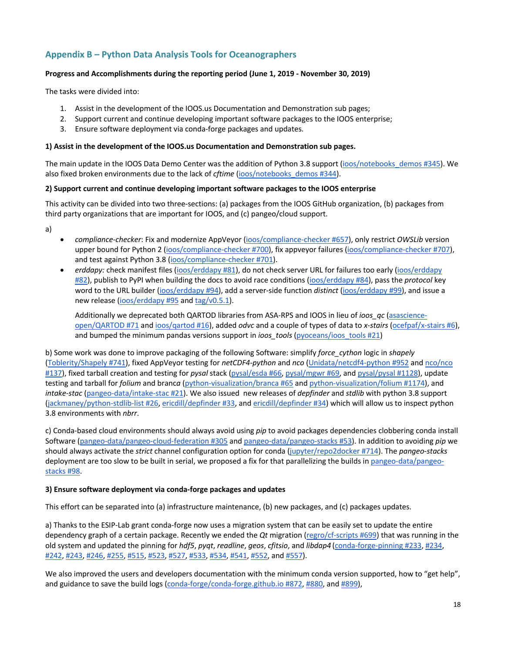## **Appendix B – Python Data Analysis Tools for Oceanographers**

#### **Progress and Accomplishments during the reporting period (June 1, 2019 - November 30, 2019)**

The tasks were divided into:

- 1. Assist in the development of the IOOS.us Documentation and Demonstration sub pages;
- 2. Support current and continue developing important software packages to the IOOS enterprise;
- 3. Ensure software deployment via conda-forge packages and updates.

#### **1) Assist in the development of the IOOS.us Documentation and Demonstration sub pages.**

The main update in the IOOS Data Demo Center was the addition of Python 3.8 support (ioos/notebooks demos #345). We also fixed broken environments due to the lack of *cftime* (ioos/notebooks demos #344).

#### **2) Support current and continue developing important software packages to the IOOS enterprise**

This activity can be divided into two three-sections: (a) packages from the IOOS GitHub organization, (b) packages from third party organizations that are important for IOOS, and (c) pangeo/cloud support.

- a)
- *compliance-checker*: Fix and modernize AppVeyor (ioos/compliance-checker #657), only restrict *OWSLib* version upper bound for Python 2 (ioos/compliance-checker #700), fix appveyor failures (ioos/compliance-checker #707), and test against Python 3.8 (ioos/compliance-checker #701).
- *erddapy:* check manifest files (ioos/erddapy #81), do not check server URL for failures too early (ioos/erddapy #82), publish to PyPI when building the docs to avoid race conditions (ioos/erddapy #84), pass the *protocol* key word to the URL builder (ioos/erddapy #94), add a server-side function *distinct* (ioos/erddapy #99), and issue a new release (ioos/erddapy #95 and tag/v0.5.1).

Additionally we deprecated both QARTOD libraries from ASA-RPS and IOOS in lieu of *ioos\_qc* (asascienceopen/QARTOD #71 and ioos/qartod #16), added *odvc* and a couple of types of data to *x-stairs* (ocefpaf/x-stairs #6), and bumped the minimum pandas versions support in *ioos\_tools* (pyoceans/ioos\_tools #21)

b) Some work was done to improve packaging of the following Software: simplify *force\_cython* logic in *shapely* (Toblerity/Shapely #741), fixed AppVeyor testing for *netCDF4-python* and *nco* (Unidata/netcdf4-python #952 and nco/nco #137), fixed tarball creation and testing for *pysal* stack (pysal/esda #66, pysal/mgwr #69, and pysal/pysal #1128), update testing and tarball for *folium* and branc*a* (python-visualization/branca #65 and python-visualization/folium #1174), and *intake-stac* (pangeo-data/intake-stac #21). We also issued new releases of *depfinder* and *stdlib* with python 3.8 support (jackmaney/python-stdlib-list #26, ericdill/depfinder #33, and ericdill/depfinder #34) which will allow us to inspect python 3.8 environments with *nbrr*.

c) Conda-based cloud environments should always avoid using *pip* to avoid packages dependencies clobbering conda install Software (pangeo-data/pangeo-cloud-federation #305 and pangeo-data/pangeo-stacks #53). In addition to avoiding *pip* we should always activate the *strict* channel configuration option for conda (jupyter/repo2docker #714). The *pangeo-stacks* deployment are too slow to be built in serial, we proposed a fix for that parallelizing the builds in pangeo-data/pangeostacks #98.

#### **3) Ensure software deployment via conda-forge packages and updates**

This effort can be separated into (a) infrastructure maintenance, (b) new packages, and (c) packages updates.

a) Thanks to the ESIP-Lab grant conda-forge now uses a migration system that can be easily set to update the entire dependency graph of a certain package. Recently we ended the *Qt* migration (regro/cf-scripts #699) that was running in the old system and updated the pinning for *hdf5*, *pyqt*, *readline*, *geos*, *cfitsio*, and *libdap4* (conda-forge-pinning #233, #234, #242, #243, #246, #255, #515, #523, #527, #533, #534, #541, #552, and #557).

We also improved the users and developers documentation with the minimum conda version supported, how to "get help", and guidance to save the build logs (conda-forge/conda-forge.github.io #872, #880, and #899),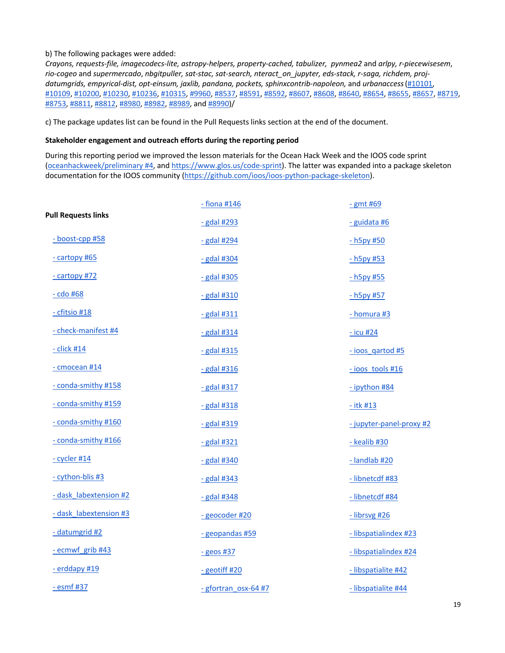#### b) The following packages were added:

*Crayons, requests-file, imagecodecs-lite, astropy-helpers, property-cached, tabulizer, pynmea2* and *arlpy, r-piecewisesem*, *rio-cogeo* and *supermercado*, *nbgitpuller, sat-stac, sat-search, nteract\_on\_jupyter, eds-stack, r-saga, richdem, projdatumgrids, empyrical-dist, opt-einsum, jaxlib, pandana, pockets, sphinxcontrib-napoleon,* and *urbanaccess*(#10101, #10109, #10200, #10230, #10236, #10315, #9960, #8537, #8591, #8592, #8607, #8608, #8640, #8654, #8655, #8657, #8719, #8753, #8811, #8812, #8980, #8982, #8989, and #8990)/

c) The package updates list can be found in the Pull Requests links section at the end of the document.

#### **Stakeholder engagement and outreach efforts during the reporting period**

During this reporting period we improved the lesson materials for the Ocean Hack Week and the IOOS code sprint (oceanhackweek/preliminary #4, and https://www.glos.us/code-sprint). The latter was expanded into a package skeleton documentation for the IOOS community (https://github.com/ioos/ioos-python-package-skeleton).

|                            | $-$ fiona #146       | $-$ gmt #69              |
|----------------------------|----------------------|--------------------------|
| <b>Pull Requests links</b> | $-$ gdal #293        | - guidata #6             |
| - boost-cpp #58            | $-$ gdal #294        | $-h5p$ y #50             |
| - cartopy #65              | $-$ gdal #304        | $-h5p$ y #53             |
| - cartopy #72              | $-$ gdal #305        | $-h5p$ y #55             |
| $-$ cdo #68                | $-$ gdal #310        | - h5py #57               |
| - cfitsio #18              | $-$ gdal #311        | $-homura$ #3             |
| - check-manifest #4        | $-$ gdal #314        | $-$ icu #24              |
| $-$ click #14              | $-$ gdal #315        | - ioos_qartod #5         |
| - cmocean #14              | $-$ gdal #316        | $-$ ioos tools #16       |
| - conda-smithy #158        | $-$ gdal #317        | - ipython #84            |
| - conda-smithy #159        | $-$ gdal #318        | $-$ itk #13              |
| - conda-smithy #160        | - gdal #319          | - jupyter-panel-proxy #2 |
| - conda-smithy #166        | $-$ gdal #321        | - kealib #30             |
| $-$ cycler #14             | $-$ gdal #340        | - landlab #20            |
| - cython-blis #3           | $-$ gdal #343        | - libnetcdf #83          |
| - dask labextension #2     | $-$ gdal #348        | - libnetcdf #84          |
| - dask labextension #3     | - geocoder #20       | $-$ librsvg #26          |
| - datumgrid #2             | - geopandas #59      | - libspatialindex #23    |
| - ecmwf grib #43           | $-$ geos #37         | - libspatialindex #24    |
| - erddapy #19              | $-$ geotiff #20      | - libspatialite #42      |
| - esmf #37                 | - gfortran osx-64 #7 | - libspatialite #44      |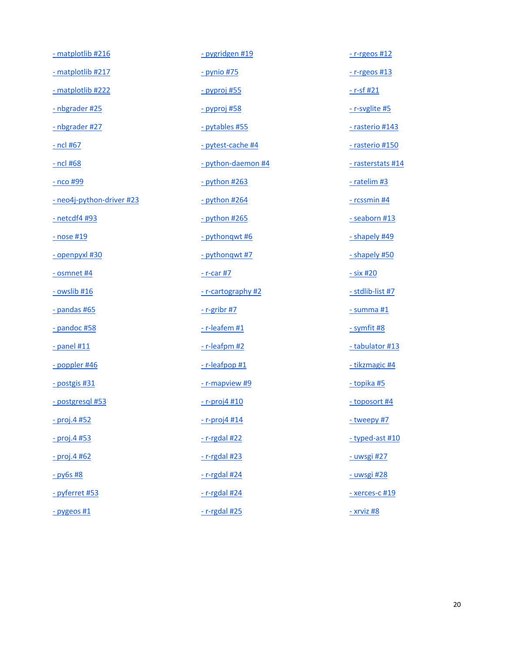| - matplotlib #216         | - pygridgen #19     | $-$ r-rgeos #12       |
|---------------------------|---------------------|-----------------------|
| - matplotlib #217         | - pynio #75         | $-$ r-rgeos #13       |
| - matplotlib #222         | <u>- pyproj #55</u> | <u>- r-sf #21</u>     |
| - nbgrader #25            | <u>- pyproj #58</u> | - r-svglite #5        |
| - nbgrader #27            | - pytables #55      | - rasterio #143       |
| <u>- ncl #67</u>          | - pytest-cache #4   | - rasterio #150       |
| - ncl #68                 | - python-daemon #4  | - rasterstats #14     |
| <u>- nco #99</u>          | $-$ python #263     | $-$ ratelim #3        |
| - neo4j-python-driver #23 | $-$ python #264     | $-$ rcssmin #4        |
| <u>- netcdf4 #93</u>      | $-$ python #265     | - seaborn #13         |
| <u>- nose #19</u>         | - pythonqwt #6      | - shapely #49         |
| - openpyxl #30            | - pythonqwt #7      | - shapely #50         |
| $-$ osmnet $#4$           | <u>- r-car #7</u>   | <u>- six #20</u>      |
| $-$ owslib #16            | - r-cartography #2  | - stdlib-list #7      |
| $-$ pandas #65            | $-$ r-gribr #7      | $-$ summa $#1$        |
| $-$ pandoc #58            | $-$ r-leafem #1     | - symfit #8           |
| $-$ panel #11             | $-$ r-leafpm #2     | - tabulator #13       |
| - poppler #46             | $-$ r-leafpop #1    | - tikzmagic #4        |
| - postgis #31             | - r-mapview #9      | - topika #5           |
| - postgresql #53          | $-$ r-proj $4$ #10  | - toposort #4         |
| - proj.4 #52              | $-$ r-proj4 #14     | - tweepy #7           |
| $-$ proj.4 #53            | $-$ r-rgdal #22     | - typed-ast #10       |
| $-$ proj.4 #62            | $-$ r-rgdal #23     | - uwsgi #27           |
| $-$ py6s #8               | $-$ r-rgdal #24     | - uwsgi #28           |
| - pyferret #53            | $-$ r-rgdal #24     | <u>- xerces-c #19</u> |
| $-$ pygeos #1             | $-$ r-rgdal #25     | $-$ xrviz #8          |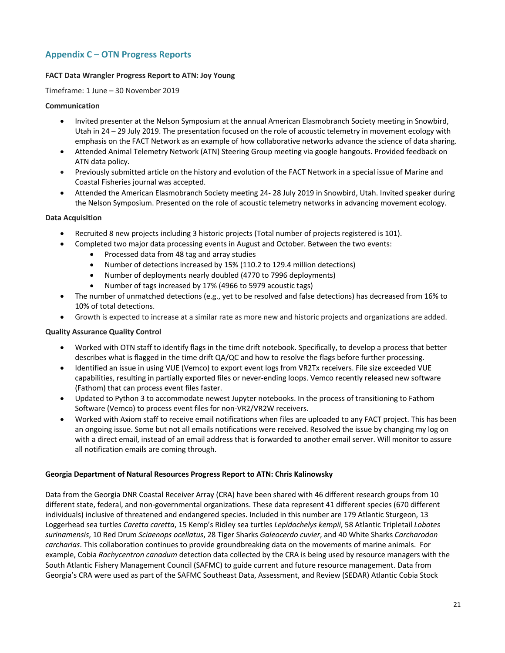## **Appendix C – OTN Progress Reports**

#### **FACT Data Wrangler Progress Report to ATN: Joy Young**

Timeframe: 1 June – 30 November 2019

#### **Communication**

- Invited presenter at the Nelson Symposium at the annual American Elasmobranch Society meeting in Snowbird, Utah in 24 – 29 July 2019. The presentation focused on the role of acoustic telemetry in movement ecology with emphasis on the FACT Network as an example of how collaborative networks advance the science of data sharing.
- Attended Animal Telemetry Network (ATN) Steering Group meeting via google hangouts. Provided feedback on ATN data policy.
- Previously submitted article on the history and evolution of the FACT Network in a special issue of Marine and Coastal Fisheries journal was accepted.
- Attended the American Elasmobranch Society meeting 24- 28 July 2019 in Snowbird, Utah. Invited speaker during the Nelson Symposium. Presented on the role of acoustic telemetry networks in advancing movement ecology.

#### **Data Acquisition**

- Recruited 8 new projects including 3 historic projects (Total number of projects registered is 101).
- Completed two major data processing events in August and October. Between the two events:
	- Processed data from 48 tag and array studies
	- Number of detections increased by 15% (110.2 to 129.4 million detections)
	- Number of deployments nearly doubled (4770 to 7996 deployments)
	- Number of tags increased by 17% (4966 to 5979 acoustic tags)
- The number of unmatched detections (e.g., yet to be resolved and false detections) has decreased from 16% to 10% of total detections.
- Growth is expected to increase at a similar rate as more new and historic projects and organizations are added.

#### **Quality Assurance Quality Control**

- Worked with OTN staff to identify flags in the time drift notebook. Specifically, to develop a process that better describes what is flagged in the time drift QA/QC and how to resolve the flags before further processing.
- Identified an issue in using VUE (Vemco) to export event logs from VR2Tx receivers. File size exceeded VUE capabilities, resulting in partially exported files or never-ending loops. Vemco recently released new software (Fathom) that can process event files faster.
- Updated to Python 3 to accommodate newest Jupyter notebooks. In the process of transitioning to Fathom Software (Vemco) to process event files for non-VR2/VR2W receivers.
- Worked with Axiom staff to receive email notifications when files are uploaded to any FACT project. This has been an ongoing issue. Some but not all emails notifications were received. Resolved the issue by changing my log on with a direct email, instead of an email address that is forwarded to another email server. Will monitor to assure all notification emails are coming through.

#### **Georgia Department of Natural Resources Progress Report to ATN: Chris Kalinowsky**

Data from the Georgia DNR Coastal Receiver Array (CRA) have been shared with 46 different research groups from 10 different state, federal, and non-governmental organizations. These data represent 41 different species (670 different individuals) inclusive of threatened and endangered species. Included in this number are 179 Atlantic Sturgeon, 13 Loggerhead sea turtles *Caretta caretta*, 15 Kemp's Ridley sea turtles *Lepidochelys kempii*, 58 Atlantic Tripletail *Lobotes surinamensis*, 10 Red Drum *Sciaenops ocellatus*, 28 Tiger Sharks *Galeocerdo cuvier*, and 40 White Sharks *Carcharodon carcharias*. This collaboration continues to provide groundbreaking data on the movements of marine animals. For example, Cobia *Rachycentron canadum* detection data collected by the CRA is being used by resource managers with the South Atlantic Fishery Management Council (SAFMC) to guide current and future resource management. Data from Georgia's CRA were used as part of the SAFMC Southeast Data, Assessment, and Review (SEDAR) Atlantic Cobia Stock